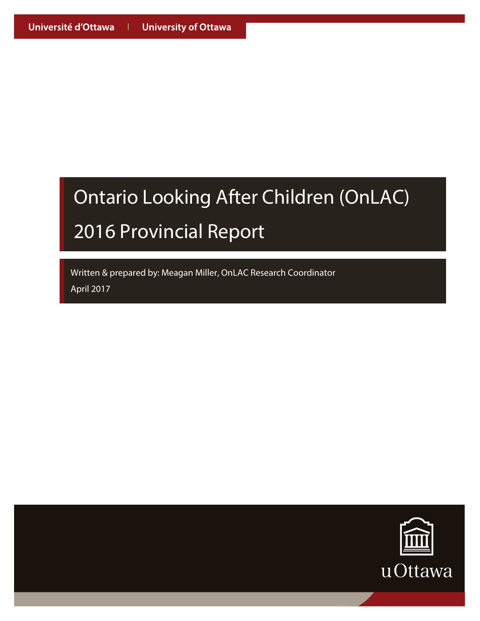Written & prepared by: Meagan Miller, OnLAC Research Coordinator W April 2017 A

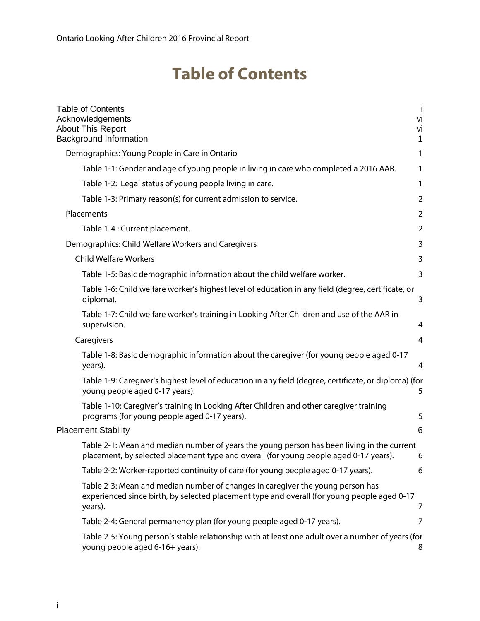### **Table of Contents**

| <b>Table of Contents</b><br>Acknowledgements<br><b>About This Report</b><br><b>Background Information</b>                                                                                | $\mathbf{I}$<br>vi<br>Vİ<br>$\mathbf{1}$ |
|------------------------------------------------------------------------------------------------------------------------------------------------------------------------------------------|------------------------------------------|
| Demographics: Young People in Care in Ontario                                                                                                                                            | 1                                        |
| Table 1-1: Gender and age of young people in living in care who completed a 2016 AAR.                                                                                                    | 1                                        |
| Table 1-2: Legal status of young people living in care.                                                                                                                                  | $\mathbf{1}$                             |
| Table 1-3: Primary reason(s) for current admission to service.                                                                                                                           | $\overline{2}$                           |
| Placements                                                                                                                                                                               | $\overline{2}$                           |
| Table 1-4 : Current placement.                                                                                                                                                           | 2                                        |
| Demographics: Child Welfare Workers and Caregivers                                                                                                                                       | 3                                        |
| <b>Child Welfare Workers</b>                                                                                                                                                             | 3                                        |
| Table 1-5: Basic demographic information about the child welfare worker.                                                                                                                 | 3                                        |
| Table 1-6: Child welfare worker's highest level of education in any field (degree, certificate, or<br>diploma).                                                                          | 3                                        |
| Table 1-7: Child welfare worker's training in Looking After Children and use of the AAR in<br>supervision.                                                                               | 4                                        |
| Caregivers                                                                                                                                                                               | 4                                        |
| Table 1-8: Basic demographic information about the caregiver (for young people aged 0-17<br>years).                                                                                      | 4                                        |
| Table 1-9: Caregiver's highest level of education in any field (degree, certificate, or diploma) (for<br>young people aged 0-17 years).                                                  | 5                                        |
| Table 1-10: Caregiver's training in Looking After Children and other caregiver training<br>programs (for young people aged 0-17 years).                                                  | 5                                        |
| <b>Placement Stability</b>                                                                                                                                                               | 6                                        |
| Table 2-1: Mean and median number of years the young person has been living in the current<br>placement, by selected placement type and overall (for young people aged 0-17 years).      | 6                                        |
| Table 2-2: Worker-reported continuity of care (for young people aged 0-17 years).                                                                                                        | 6                                        |
| Table 2-3: Mean and median number of changes in caregiver the young person has<br>experienced since birth, by selected placement type and overall (for young people aged 0-17<br>years). | 7                                        |
| Table 2-4: General permanency plan (for young people aged 0-17 years).                                                                                                                   | 7                                        |
| Table 2-5: Young person's stable relationship with at least one adult over a number of years (for<br>young people aged 6-16+ years).                                                     | 8                                        |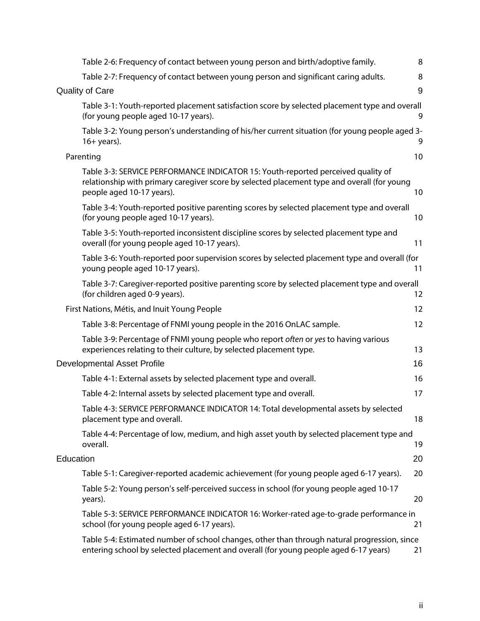| Table 2-6: Frequency of contact between young person and birth/adoptive family.                                                                                                                              | 8  |
|--------------------------------------------------------------------------------------------------------------------------------------------------------------------------------------------------------------|----|
| Table 2-7: Frequency of contact between young person and significant caring adults.                                                                                                                          | 8  |
| <b>Quality of Care</b>                                                                                                                                                                                       | 9  |
| Table 3-1: Youth-reported placement satisfaction score by selected placement type and overall<br>(for young people aged 10-17 years).                                                                        | 9  |
| Table 3-2: Young person's understanding of his/her current situation (for young people aged 3-<br>$16+ years$ ).                                                                                             | 9  |
| Parenting                                                                                                                                                                                                    | 10 |
| Table 3-3: SERVICE PERFORMANCE INDICATOR 15: Youth-reported perceived quality of<br>relationship with primary caregiver score by selected placement type and overall (for young<br>people aged 10-17 years). | 10 |
| Table 3-4: Youth-reported positive parenting scores by selected placement type and overall<br>(for young people aged 10-17 years).                                                                           | 10 |
| Table 3-5: Youth-reported inconsistent discipline scores by selected placement type and<br>overall (for young people aged 10-17 years).                                                                      | 11 |
| Table 3-6: Youth-reported poor supervision scores by selected placement type and overall (for<br>young people aged 10-17 years).                                                                             | 11 |
| Table 3-7: Caregiver-reported positive parenting score by selected placement type and overall<br>(for children aged 0-9 years).                                                                              | 12 |
| First Nations, Métis, and Inuit Young People                                                                                                                                                                 | 12 |
| Table 3-8: Percentage of FNMI young people in the 2016 OnLAC sample.                                                                                                                                         | 12 |
| Table 3-9: Percentage of FNMI young people who report often or yes to having various<br>experiences relating to their culture, by selected placement type.                                                   | 13 |
| Developmental Asset Profile                                                                                                                                                                                  | 16 |
| Table 4-1: External assets by selected placement type and overall.                                                                                                                                           | 16 |
| Table 4-2: Internal assets by selected placement type and overall.                                                                                                                                           | 17 |
| Table 4-3: SERVICE PERFORMANCE INDICATOR 14: Total developmental assets by selected<br>placement type and overall.                                                                                           | 18 |
| Table 4-4: Percentage of low, medium, and high asset youth by selected placement type and<br>overall.                                                                                                        | 19 |
| Education                                                                                                                                                                                                    | 20 |
| Table 5-1: Caregiver-reported academic achievement (for young people aged 6-17 years).                                                                                                                       | 20 |
| Table 5-2: Young person's self-perceived success in school (for young people aged 10-17<br>years).                                                                                                           | 20 |
| Table 5-3: SERVICE PERFORMANCE INDICATOR 16: Worker-rated age-to-grade performance in<br>school (for young people aged 6-17 years).                                                                          | 21 |
| Table 5-4: Estimated number of school changes, other than through natural progression, since<br>entering school by selected placement and overall (for young people aged 6-17 years)                         | 21 |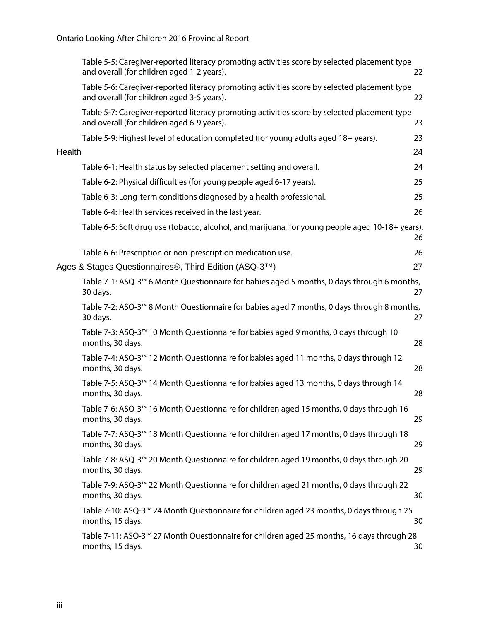|        | Table 5-5: Caregiver-reported literacy promoting activities score by selected placement type<br>and overall (for children aged 1-2 years). | 22 |
|--------|--------------------------------------------------------------------------------------------------------------------------------------------|----|
|        | Table 5-6: Caregiver-reported literacy promoting activities score by selected placement type<br>and overall (for children aged 3-5 years). | 22 |
|        | Table 5-7: Caregiver-reported literacy promoting activities score by selected placement type<br>and overall (for children aged 6-9 years). | 23 |
|        | Table 5-9: Highest level of education completed (for young adults aged 18+ years).                                                         | 23 |
| Health |                                                                                                                                            | 24 |
|        | Table 6-1: Health status by selected placement setting and overall.                                                                        | 24 |
|        | Table 6-2: Physical difficulties (for young people aged 6-17 years).                                                                       | 25 |
|        | Table 6-3: Long-term conditions diagnosed by a health professional.                                                                        | 25 |
|        | Table 6-4: Health services received in the last year.                                                                                      | 26 |
|        | Table 6-5: Soft drug use (tobacco, alcohol, and marijuana, for young people aged 10-18+ years).                                            | 26 |
|        | Table 6-6: Prescription or non-prescription medication use.                                                                                | 26 |
|        | Ages & Stages Questionnaires®, Third Edition (ASQ-3™)                                                                                      | 27 |
|        | Table 7-1: ASQ-3™ 6 Month Questionnaire for babies aged 5 months, 0 days through 6 months,<br>30 days.                                     | 27 |
|        | Table 7-2: ASQ-3™ 8 Month Questionnaire for babies aged 7 months, 0 days through 8 months,<br>30 days.                                     | 27 |
|        | Table 7-3: ASQ-3™ 10 Month Questionnaire for babies aged 9 months, 0 days through 10<br>months, 30 days.                                   | 28 |
|        | Table 7-4: ASQ-3 <sup>™</sup> 12 Month Questionnaire for babies aged 11 months, 0 days through 12<br>months, 30 days.                      | 28 |
|        | Table 7-5: ASQ-3 <sup>™</sup> 14 Month Questionnaire for babies aged 13 months, 0 days through 14<br>months, 30 days.                      | 28 |
|        | Table 7-6: ASQ-3 <sup>™</sup> 16 Month Questionnaire for children aged 15 months, 0 days through 16<br>months, 30 days.                    | 29 |
|        | Table 7-7: ASQ-3™ 18 Month Questionnaire for children aged 17 months, 0 days through 18<br>months, 30 days.                                | 29 |
|        | Table 7-8: ASQ-3™ 20 Month Questionnaire for children aged 19 months, 0 days through 20<br>months, 30 days.                                | 29 |
|        | Table 7-9: ASQ-3™ 22 Month Questionnaire for children aged 21 months, 0 days through 22<br>months, 30 days.                                | 30 |
|        | Table 7-10: ASQ-3™ 24 Month Questionnaire for children aged 23 months, 0 days through 25<br>months, 15 days.                               | 30 |
|        | Table 7-11: ASQ-3™ 27 Month Questionnaire for children aged 25 months, 16 days through 28<br>months, 15 days.                              | 30 |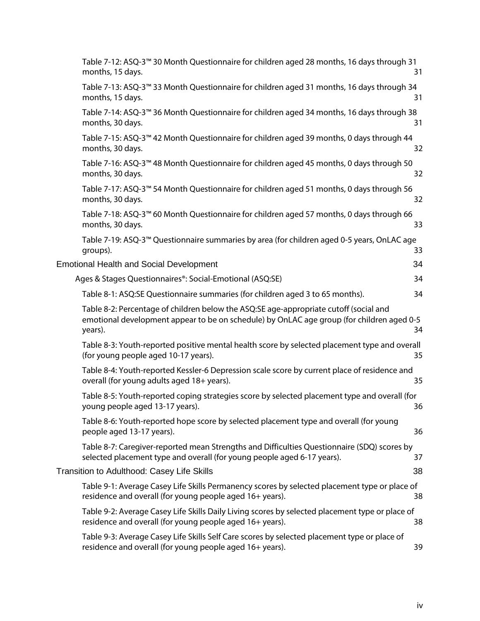| Table 7-12: ASQ-3 <sup>™</sup> 30 Month Questionnaire for children aged 28 months, 16 days through 31<br>months, 15 days.                                                                     | 31 |
|-----------------------------------------------------------------------------------------------------------------------------------------------------------------------------------------------|----|
| Table 7-13: ASQ-3 <sup>™</sup> 33 Month Questionnaire for children aged 31 months, 16 days through 34<br>months, 15 days.                                                                     | 31 |
| Table 7-14: ASQ-3 <sup>™</sup> 36 Month Questionnaire for children aged 34 months, 16 days through 38<br>months, 30 days.                                                                     | 31 |
| Table 7-15: ASQ-3™ 42 Month Questionnaire for children aged 39 months, 0 days through 44<br>months, 30 days.                                                                                  | 32 |
| Table 7-16: ASQ-3™ 48 Month Questionnaire for children aged 45 months, 0 days through 50<br>months, 30 days.                                                                                  | 32 |
| Table 7-17: ASQ-3 <sup>™</sup> 54 Month Questionnaire for children aged 51 months, 0 days through 56<br>months, 30 days.                                                                      | 32 |
| Table 7-18: ASQ-3 <sup>™</sup> 60 Month Questionnaire for children aged 57 months, 0 days through 66<br>months, 30 days.                                                                      | 33 |
| Table 7-19: ASQ-3™ Questionnaire summaries by area (for children aged 0-5 years, OnLAC age<br>groups).                                                                                        | 33 |
| <b>Emotional Health and Social Development</b>                                                                                                                                                | 34 |
| Ages & Stages Questionnaires®: Social-Emotional (ASQ:SE)                                                                                                                                      | 34 |
| Table 8-1: ASQ:SE Questionnaire summaries (for children aged 3 to 65 months).                                                                                                                 | 34 |
| Table 8-2: Percentage of children below the ASQ:SE age-appropriate cutoff (social and<br>emotional development appear to be on schedule) by OnLAC age group (for children aged 0-5<br>years). | 34 |
| Table 8-3: Youth-reported positive mental health score by selected placement type and overall<br>(for young people aged 10-17 years).                                                         | 35 |
| Table 8-4: Youth-reported Kessler-6 Depression scale score by current place of residence and<br>overall (for young adults aged 18+ years).                                                    | 35 |
| Table 8-5: Youth-reported coping strategies score by selected placement type and overall (for<br>young people aged 13-17 years).                                                              | 36 |
| Table 8-6: Youth-reported hope score by selected placement type and overall (for young<br>people aged 13-17 years).                                                                           | 36 |
| Table 8-7: Caregiver-reported mean Strengths and Difficulties Questionnaire (SDQ) scores by<br>selected placement type and overall (for young people aged 6-17 years).                        | 37 |
| Transition to Adulthood: Casey Life Skills                                                                                                                                                    | 38 |
| Table 9-1: Average Casey Life Skills Permanency scores by selected placement type or place of<br>residence and overall (for young people aged 16+ years).                                     | 38 |
| Table 9-2: Average Casey Life Skills Daily Living scores by selected placement type or place of<br>residence and overall (for young people aged 16+ years).                                   | 38 |
| Table 9-3: Average Casey Life Skills Self Care scores by selected placement type or place of<br>residence and overall (for young people aged 16+ years).                                      | 39 |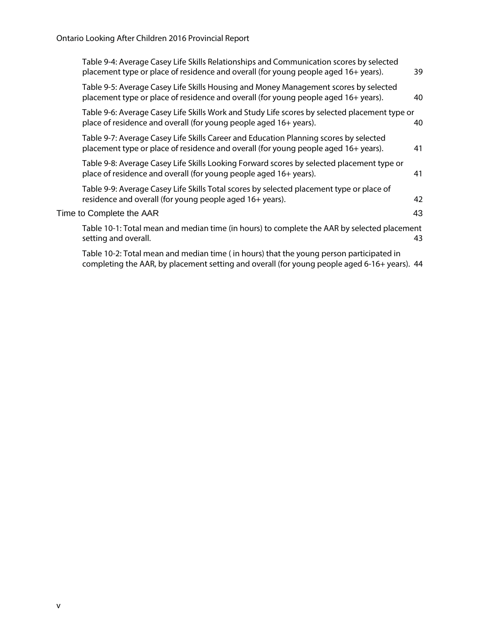| Table 9-4: Average Casey Life Skills Relationships and Communication scores by selected<br>placement type or place of residence and overall (for young people aged 16+ years). | 39 |
|--------------------------------------------------------------------------------------------------------------------------------------------------------------------------------|----|
| Table 9-5: Average Casey Life Skills Housing and Money Management scores by selected<br>placement type or place of residence and overall (for young people aged 16+ years).    | 40 |
| Table 9-6: Average Casey Life Skills Work and Study Life scores by selected placement type or<br>place of residence and overall (for young people aged 16+ years).             | 40 |
| Table 9-7: Average Casey Life Skills Career and Education Planning scores by selected<br>placement type or place of residence and overall (for young people aged 16+ years).   | 41 |
| Table 9-8: Average Casey Life Skills Looking Forward scores by selected placement type or<br>place of residence and overall (for young people aged 16+ years).                 | 41 |
| Table 9-9: Average Casey Life Skills Total scores by selected placement type or place of<br>residence and overall (for young people aged 16+ years).                           | 42 |
| Time to Complete the AAR                                                                                                                                                       | 43 |
| Table 10-1: Total mean and median time (in hours) to complete the AAR by selected placement<br>setting and overall.                                                            | 43 |
| Table 10-2: Total mean and median time (in hours) that the young person participated in                                                                                        |    |

completing the AAR, by placement setting and overall (for young people aged 6-16+ years). 44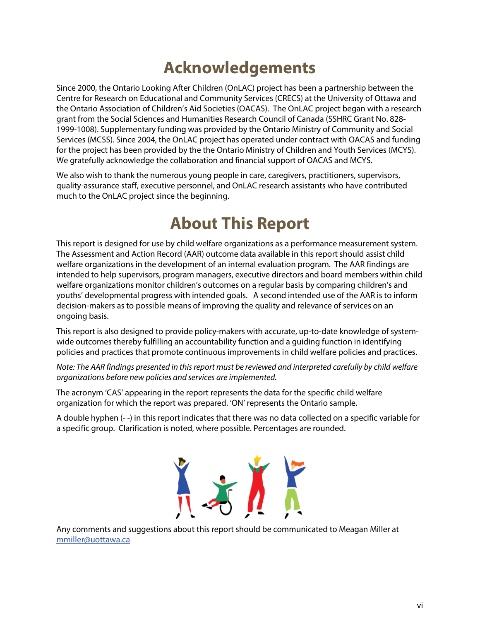### **Acknowledgements**

Since 2000, the Ontario Looking After Children (OnLAC) project has been a partnership between the Centre for Research on Educational and Community Services (CRECS) at the University of Ottawa and the Ontario Association of Children's Aid Societies (OACAS). The OnLAC project began with a research grant from the Social Sciences and Humanities Research Council of Canada (SSHRC Grant No. 828- 1999-1008). Supplementary funding was provided by the Ontario Ministry of Community and Social Services (MCSS). Since 2004, the OnLAC project has operated under contract with OACAS and funding for the project has been provided by the the Ontario Ministry of Children and Youth Services (MCYS). We gratefully acknowledge the collaboration and financial support of OACAS and MCYS.

We also wish to thank the numerous young people in care, caregivers, practitioners, supervisors, quality-assurance staff, executive personnel, and OnLAC research assistants who have contributed much to the OnLAC project since the beginning.

### **About This Report**

This report is designed for use by child welfare organizations as a performance measurement system. The Assessment and Action Record (AAR) outcome data available in this report should assist child welfare organizations in the development of an internal evaluation program. The AAR findings are intended to help supervisors, program managers, executive directors and board members within child welfare organizations monitor children's outcomes on a regular basis by comparing children's and youths' developmental progress with intended goals. A second intended use of the AAR is to inform decision-makers as to possible means of improving the quality and relevance of services on an ongoing basis.

This report is also designed to provide policy-makers with accurate, up-to-date knowledge of systemwide outcomes thereby fulfilling an accountability function and a guiding function in identifying policies and practices that promote continuous improvements in child welfare policies and practices.

Note: The AAR findings presented in this report must be reviewed and interpreted carefully by child welfare organizations before new policies and services are implemented.

The acronym 'CAS' appearing in the report represents the data for the specific child welfare organization for which the report was prepared. 'ON' represents the Ontario sample.

A double hyphen (- -) in this report indicates that there was no data collected on a specific variable for a specific group. Clarification is noted, where possible. Percentages are rounded.



Any comments and suggestions about this report should be communicated to Meagan Miller at mmiller@uottawa.ca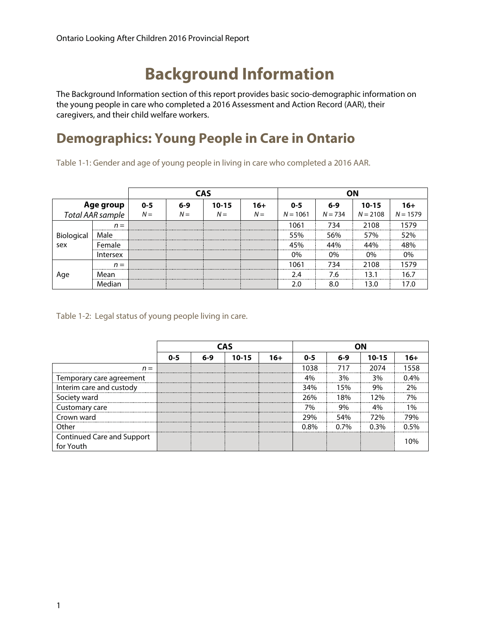### **Background Information**

The Background Information section of this report provides basic socio-demographic information on the young people in care who completed a 2016 Assessment and Action Record (AAR), their caregivers, and their child welfare workers.

### **Demographics: Young People in Care in Ontario**

Table 1-1: Gender and age of young people in living in care who completed a 2016 AAR.

|                   |                 |         | <b>CAS</b> |           |       | ΩN         |           |            |            |  |
|-------------------|-----------------|---------|------------|-----------|-------|------------|-----------|------------|------------|--|
| Age group         |                 | $0 - 5$ | $6 - 9$    | $10 - 15$ | $16+$ | $0 - 5$    | $6 - 9$   | $10 - 15$  | 16+        |  |
| Total AAR sample  |                 | $N =$   | $N =$      | $N =$     | $N =$ | $N = 1061$ | $N = 734$ | $N = 2108$ | $N = 1579$ |  |
|                   | $n =$           |         |            |           |       | 1061       | 734       | 2108       | 1579       |  |
|                   | Male            |         |            |           |       | 55%        | 56%       | 57%        | 52%        |  |
| Biological<br>sex | Female          |         |            |           |       | 45%        | 44%       | 44%        | 18%        |  |
|                   | <b>Intersex</b> |         |            |           |       | 0%         | $0\%$     | $0\%$      | $0\%$      |  |
|                   | $n =$           |         |            |           |       | 1061       | 734       | 2108       | 1579       |  |
| Age               | Mean            |         |            |           |       | 2.4        | 7.6       | 3.1        | 16.7       |  |
|                   | Median          |         |            |           |       | 2.0        | 8.0       | 13.0       | 17 በ       |  |

Table 1-2: Legal status of young people living in care.

|                                         |         |       | CAS       |       | nΝ      |         |           |         |  |
|-----------------------------------------|---------|-------|-----------|-------|---------|---------|-----------|---------|--|
|                                         | $0 - 5$ | $6-9$ | $10 - 15$ | $16+$ | $0 - 5$ | $6-9$   | $10 - 15$ | 16+     |  |
| $n =$                                   |         |       |           |       | 1038    | 717     | 2074      |         |  |
| Temporary care agreement                |         |       |           |       | 4%      | 3%      | 3%        | $0.4\%$ |  |
| Interim care and custody                |         |       |           |       | 34%     | 15%     | 9%        | ን%      |  |
| Society ward                            |         |       |           |       | 26%     | 18%     | 12%       | 7%      |  |
| Customary care                          |         |       |           |       | 7%      | 9%<br>. | 4%<br>    | 10/2    |  |
| Crown ward                              |         |       |           |       | 29%     | 54%     | 72%       | 79%     |  |
| Other                                   |         |       |           |       | በ ጸ%    | በ 7%    | 0.3%      | በ 5%    |  |
| Continued Care and Support<br>for Youth |         |       |           |       |         |         |           |         |  |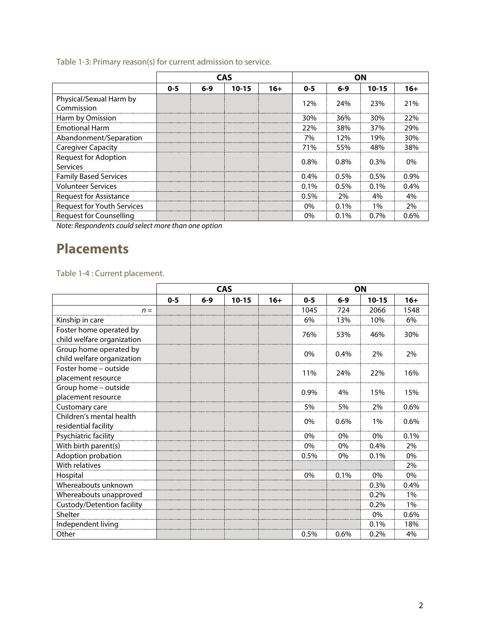Table 1-3: Primary reason(s) for current admission to service.

|                                         |         |         | <b>CAS</b> |       | ΟN      |         |           |         |  |
|-----------------------------------------|---------|---------|------------|-------|---------|---------|-----------|---------|--|
|                                         | $0 - 5$ | $6 - 9$ | $10 - 15$  | $16+$ | $0 - 5$ | $6-9$   | $10 - 15$ | $16+$   |  |
| Physical/Sexual Harm by<br>Commission   |         |         |            |       | 12%     | 24%     | 23%       | 21%     |  |
| Harm by Omission                        |         |         |            |       | 30%     | 36%     | 30%       | 22%     |  |
| <b>Emotional Harm</b>                   |         |         |            |       | 22%     | 38%     | 37%       | 29%     |  |
| Abandonment/Separation                  |         |         |            |       | 7%      | 12%     | 19%       | 30%     |  |
| <b>Caregiver Capacity</b>               |         |         |            |       | 71%     | 55%     | 48%       | 38%     |  |
| <b>Request for Adoption</b><br>Services |         |         |            |       | $0.8\%$ | $0.8\%$ | $0.3\%$   | $0\%$   |  |
| <b>Family Based Services</b>            |         |         |            |       | $0.4\%$ | 0.5%    | $0.5\%$   | 0.9%    |  |
| <b>Volunteer Services</b>               |         |         |            |       | $0.1\%$ | 0.5%    | $0.1\%$   | $0.4\%$ |  |
| Request for Assistance                  |         |         |            |       | $0.5\%$ | 2%      | 4%        | 4%      |  |
| <b>Request for Youth Services</b>       |         |         |            |       | $0\%$   | $0.1\%$ | 1%        | 2%      |  |
| <b>Request for Counselling</b>          |         |         |            |       | 0%      | 0.1%    | $0.7\%$   | $0.6\%$ |  |

Note: Respondents could select more than one option

### **Placements**

Table 1-4 : Current placement.

|                            | <b>CAS</b> |       |           |       | ON      |       |           |       |
|----------------------------|------------|-------|-----------|-------|---------|-------|-----------|-------|
|                            | $0 - 5$    | $6-9$ | $10 - 15$ | $16+$ | $0 - 5$ | $6-9$ | $10 - 15$ | $16+$ |
| $n =$                      |            |       |           |       | 1045    | 724   | 2066      | 1548  |
| Kinship in care            |            |       |           |       | 6%      | 13%   | 10%       | 6%    |
| Foster home operated by    |            |       |           |       | 76%     | 53%   | 46%       | 30%   |
| child welfare organization |            |       |           |       |         |       |           |       |
| Group home operated by     |            |       |           |       | $0\%$   | 0.4%  | 2%        | 2%    |
| child welfare organization |            |       |           |       |         |       |           |       |
| Foster home - outside      |            |       |           |       | 11%     | 24%   | 22%       | 16%   |
| placement resource         |            |       |           |       |         |       |           |       |
| Group home - outside       |            |       |           |       | 0.9%    | 4%    | 15%       | 15%   |
| placement resource         |            |       |           |       |         |       |           |       |
| Customary care             |            |       |           |       | 5%      | 5%    | 2%        | 0.6%  |
| Children's mental health   |            |       |           |       | $0\%$   | 0.6%  | 1%        | 0.6%  |
| residential facility       |            |       |           |       |         |       |           |       |
| Psychiatric facility       |            |       |           |       | $0\%$   | $0\%$ | 0%        | 0.1%  |
| With birth parent(s)       |            |       |           |       | $0\%$   | $0\%$ | 0.4%      | 2%    |
| Adoption probation         |            |       |           |       | 0.5%    | $0\%$ | 0.1%      | 0%    |
| With relatives             |            |       |           |       |         |       |           | 2%    |
| Hospital                   |            |       |           |       | $0\%$   | 0.1%  | 0%        | 0%    |
| Whereabouts unknown        |            |       |           |       |         |       | 0.3%      | 0.4%  |
| Whereabouts unapproved     |            |       |           |       |         |       | 0.2%      | 1%    |
| Custody/Detention facility |            |       |           |       |         |       | 0.2%      | 1%    |
| Shelter                    |            |       |           |       |         |       | 0%        | 0.6%  |
| Independent living         |            |       |           |       |         |       | 0.1%      | 18%   |
| Other                      |            |       |           |       | 0.5%    | 0.6%  | 0.2%      | 4%    |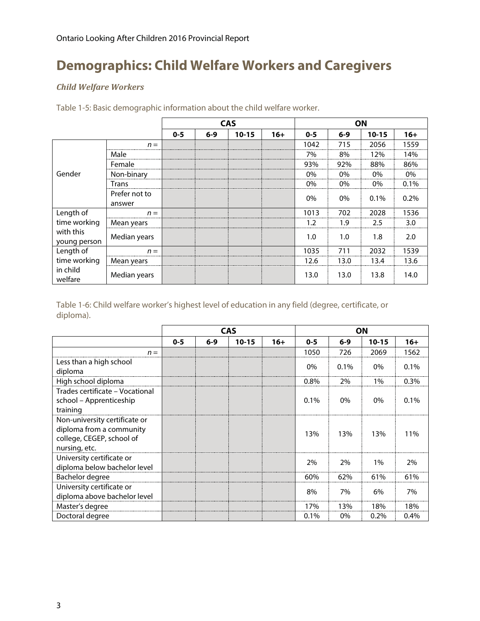### **Demographics: Child Welfare Workers and Caregivers**

#### *Child Welfare Workers*

|                     |               |         | <b>CAS</b> |           |       | ON      |         |           |       |
|---------------------|---------------|---------|------------|-----------|-------|---------|---------|-----------|-------|
|                     |               | $0 - 5$ | $6 - 9$    | $10 - 15$ | $16+$ | $0 - 5$ | $6 - 9$ | $10 - 15$ | $16+$ |
|                     | $n =$         |         |            |           |       | 1042    | 715     | 2056      | 1559  |
|                     | Male          |         |            |           |       | 7%      | 8%      | 12%       | 14%   |
|                     | Female        |         |            |           |       | 93%     | 92%     | 88%       | 86%   |
| Gender              | Non-binary    |         |            |           |       | $0\%$   | $0\%$   | 0%        | 0%    |
|                     | Trans         |         |            |           |       | 0%      | 0%      | 0%        | 0.1%  |
|                     | Prefer not to |         |            |           |       | 0%      | $0\%$   | $0.1\%$   | 0.2%  |
|                     | answer        |         |            |           |       |         |         |           |       |
| Length of           | $n =$         |         |            |           |       | 1013    | 702     | 2028      | 1536  |
| time working        | Mean years    |         |            |           |       | 1.2     | 1.9     | 2.5       | 3.0   |
| with this           | Median years  |         |            |           |       | 1.0     | 1.0     | 1.8       | 2.0   |
| young person        |               |         |            |           |       |         |         |           |       |
| Length of           | $n =$         |         |            |           |       | 1035    | 711     | 2032      | 1539  |
| time working        | Mean years    |         |            |           |       | 12.6    | 13.0    | 13.4      | 13.6  |
| in child<br>welfare | Median years  |         |            |           |       | 13.0    | 13.0    | 13.8      | 14.0  |

Table 1-5: Basic demographic information about the child welfare worker.

Table 1-6: Child welfare worker's highest level of education in any field (degree, certificate, or diploma).

|                                                                                                         |         |         | <b>CAS</b> |       | <b>ON</b> |         |           |         |  |
|---------------------------------------------------------------------------------------------------------|---------|---------|------------|-------|-----------|---------|-----------|---------|--|
|                                                                                                         | $0 - 5$ | $6 - 9$ | $10 - 15$  | $16+$ | $0 - 5$   | $6 - 9$ | $10 - 15$ | $16+$   |  |
| $n =$                                                                                                   |         |         |            |       | 1050      | 726     | 2069      | 1562    |  |
| Less than a high school<br>diploma                                                                      |         |         |            |       | 0%        | 0.1%    | $0\%$     | 0.1%    |  |
| High school diploma                                                                                     |         |         |            |       | 0.8%      | 2%      | $1\%$     | 0.3%    |  |
| Trades certificate - Vocational<br>school - Apprenticeship<br>training                                  |         |         |            |       | $0.1\%$   | $0\%$   | 0%        | 0.1%    |  |
| Non-university certificate or<br>diploma from a community<br>college, CEGEP, school of<br>nursing, etc. |         |         |            |       | 13%       | 13%     | 13%       | 11%     |  |
| University certificate or<br>diploma below bachelor level                                               |         |         |            |       | 2%        | 2%      | $1\%$     | 2%      |  |
| Bachelor degree                                                                                         |         |         |            |       | 60%       | 62%     | 61%       | 61%     |  |
| University certificate or<br>diploma above bachelor level                                               |         |         |            |       | 8%        | 7%      | 6%        | 7%      |  |
| Master's degree                                                                                         |         |         |            |       | 17%       | 13%     | 18%       | 18%     |  |
| Doctoral degree                                                                                         |         |         |            |       | $0.1\%$   | $0\%$   | $0.2\%$   | $0.4\%$ |  |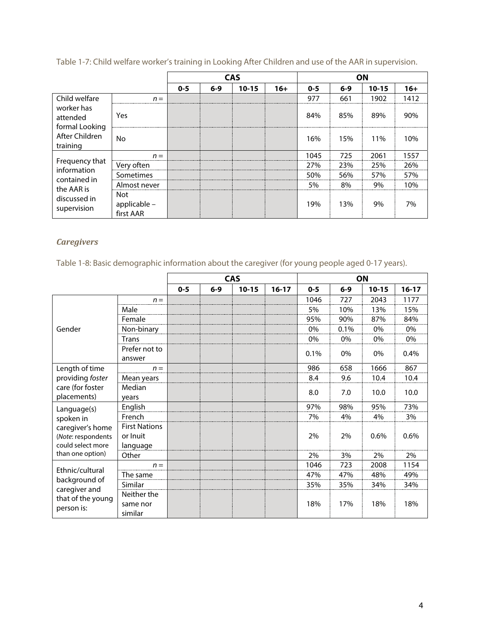|                                          |                                  |         | <b>CAS</b> |           |       |         | <b>ON</b> |           |       |  |
|------------------------------------------|----------------------------------|---------|------------|-----------|-------|---------|-----------|-----------|-------|--|
|                                          |                                  | $0 - 5$ | $6 - 9$    | $10 - 15$ | $16+$ | $0 - 5$ | $6 - 9$   | $10 - 15$ | $16+$ |  |
| Child welfare                            | $n =$                            |         |            |           |       | 977     | 661       | 1902      | 1412  |  |
| worker has<br>attended<br>formal Looking | Yes                              |         |            |           |       | 84%     | 85%       | 89%       | 90%   |  |
| After Children<br>training               | No.                              |         |            |           |       | 16%     | 15%       | 11%       | 10%   |  |
|                                          | $n =$                            |         |            |           |       | 1045    | 725       | 2061      | 1557  |  |
| Frequency that<br>information            | Very often                       |         |            |           |       | 27%     | 23%       | 25%       | 26%   |  |
| contained in                             | Sometimes                        |         |            |           |       | 50%     | 56%       | 57%       | 57%   |  |
| the AAR is                               | Almost never                     |         |            |           |       | 5%      | 8%        | 9%        | 10%   |  |
| discussed in<br>supervision              | Not<br>applicable -<br>first AAR |         |            |           |       | 19%     | 13%       | 9%        | 7%    |  |

Table 1-7: Child welfare worker's training in Looking After Children and use of the AAR in supervision.

#### *Caregivers*

Table 1-8: Basic demographic information about the caregiver (for young people aged 0-17 years).

|                                                             |                                                  |         |       | <b>CAS</b> |           |         |       | ON        |           |
|-------------------------------------------------------------|--------------------------------------------------|---------|-------|------------|-----------|---------|-------|-----------|-----------|
|                                                             |                                                  | $0 - 5$ | $6-9$ | $10 - 15$  | $16 - 17$ | $0 - 5$ | $6-9$ | $10 - 15$ | $16 - 17$ |
|                                                             | $n =$                                            |         |       |            |           | 1046    | 727   | 2043      | 1177      |
|                                                             | Male                                             |         |       |            |           | 5%      | 10%   | 13%       | 15%       |
|                                                             | Female                                           |         |       |            |           | 95%     | 90%   | 87%       | 84%       |
| Gender                                                      | Non-binary                                       |         |       |            |           | 0%      | 0.1%  | 0%        | 0%        |
|                                                             | <b>Trans</b>                                     |         |       |            |           | 0%      | 0%    | 0%        | 0%        |
|                                                             | Prefer not to<br>answer                          |         |       |            |           | 0.1%    | 0%    | 0%        | 0.4%      |
| Length of time                                              | $n =$                                            |         |       |            |           | 986     | 658   | 1666      | 867       |
| providing foster                                            | Mean years                                       |         |       |            |           | 8.4     | 9.6   | 10.4      | 10.4      |
| care (for foster<br>placements)                             | Median<br>vears                                  |         |       |            |           | 8.0     | 7.0   | 10.0      | 10.0      |
| Language(s)                                                 | English                                          |         |       |            |           | 97%     | 98%   | 95%       | 73%       |
| spoken in                                                   | French                                           |         |       |            |           | 7%      | 4%    | 4%        | 3%        |
| caregiver's home<br>(Note: respondents<br>could select more | <b>First Nations</b><br>or Inuit<br>language     |         |       |            |           | 2%      | 2%    | 0.6%      | 0.6%      |
| than one option)                                            | Other                                            |         |       |            |           | 2%      | 3%    | 2%        | 2%        |
| Ethnic/cultural                                             | $n =$                                            |         |       |            |           | 1046    | 723   | 2008      | 1154      |
|                                                             | The same                                         |         |       |            |           | 47%     | 47%   | 48%       | 49%       |
| background of<br>caregiver and                              | Similar                                          |         |       |            |           | 35%     | 35%   | 34%       | 34%       |
| that of the young<br>person is:                             | Neither the<br>17%<br>18%<br>same nor<br>similar |         | 18%   | 18%        |           |         |       |           |           |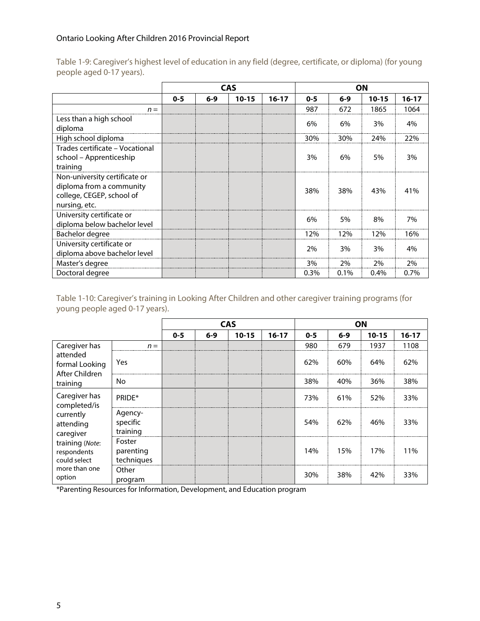|                                                                                                         |         |         | <b>CAS</b> |         | <b>ON</b> |         |           |           |
|---------------------------------------------------------------------------------------------------------|---------|---------|------------|---------|-----------|---------|-----------|-----------|
|                                                                                                         | $0 - 5$ | $6 - 9$ | $10 - 15$  | $16-17$ | $0 - 5$   | $6 - 9$ | $10 - 15$ | $16 - 17$ |
| $n =$                                                                                                   |         |         |            |         | 987       | 672     | 1865      | 1064      |
| Less than a high school<br>diploma                                                                      |         |         |            |         | 6%        | 6%      | 3%        | 4%        |
| High school diploma                                                                                     |         |         |            |         | 30%       | 30%     | 24%       | 22%       |
| Trades certificate - Vocational<br>school – Apprenticeship<br>training                                  |         |         |            |         | 3%        | 6%      | 5%        | 3%        |
| Non-university certificate or<br>diploma from a community<br>college, CEGEP, school of<br>nursing, etc. |         |         |            |         | 38%       | 38%     | 43%       | 41%       |
| University certificate or<br>diploma below bachelor level                                               |         |         |            |         | 6%        | 5%      | 8%        | 7%        |
| Bachelor degree                                                                                         |         |         |            |         | 12%       | 12%     | 12%       | 16%       |
| University certificate or<br>diploma above bachelor level                                               |         |         |            |         | 2%        | 3%      | 3%        | 4%        |
| Master's degree                                                                                         |         |         |            |         | 3%        | 2%      | 2%        | 2%        |
| Doctoral degree                                                                                         |         |         |            |         | $0.3\%$   | 0.1%    | 0.4%      | $0.7\%$   |

Table 1-9: Caregiver's highest level of education in any field (degree, certificate, or diploma) (for young people aged 0-17 years).

Table 1-10: Caregiver's training in Looking After Children and other caregiver training programs (for young people aged 0-17 years).

|                                                |                                   |         |         | <b>CAS</b> |         |         |         | ON        |         |
|------------------------------------------------|-----------------------------------|---------|---------|------------|---------|---------|---------|-----------|---------|
|                                                |                                   | $0 - 5$ | $6 - 9$ | $10 - 15$  | $16-17$ | $0 - 5$ | $6 - 9$ | $10 - 15$ | $16-17$ |
| Caregiver has                                  | $n =$                             |         |         |            |         | 980     | 679     | 1937      | 1108    |
| attended<br>formal Looking<br>After Children   | Yes                               |         |         |            |         | 62%     | 60%     | 64%       | 62%     |
| training                                       | No.                               |         |         |            |         | 38%     | 40%     | 36%       | 38%     |
| Caregiver has<br>completed/is                  | PRIDE*                            |         |         |            |         | 73%     | 61%     | 52%       | 33%     |
| currently<br>attending<br>caregiver            | Agency-<br>specific<br>training   |         |         |            |         | 54%     | 62%     | 46%       | 33%     |
| training (Note:<br>respondents<br>could select | Foster<br>parenting<br>techniques |         |         |            |         | 14%     | 15%     | 17%       | 11%     |
| more than one<br>option                        | Other<br>program                  |         |         |            |         | 30%     | 38%     | 42%       | 33%     |

\*Parenting Resources for Information, Development, and Education program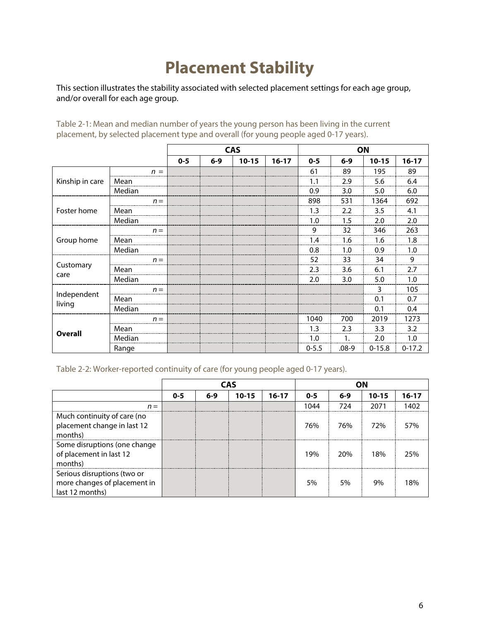# **Placement Stability**

This section illustrates the stability associated with selected placement settings for each age group, and/or overall for each age group.

Table 2-1: Mean and median number of years the young person has been living in the current placement, by selected placement type and overall (for young people aged 0-17 years).

|                 |        |         |         | <b>CAS</b> |         |           | ON        |            |          |
|-----------------|--------|---------|---------|------------|---------|-----------|-----------|------------|----------|
|                 |        | $0 - 5$ | $6 - 9$ | $10 - 15$  | $16-17$ | $0 - 5$   | $6 - 9$   | $10 - 15$  | $16-17$  |
|                 | $n =$  |         |         |            |         | 61        | 89        | 195        | 89       |
| Kinship in care | Mean   |         |         |            |         | 1.1       | 2.9       | 5.6        | 6.4      |
|                 | Median |         |         |            |         | 0.9       | 3.0       | 5.0        | 6.0      |
|                 | $n =$  |         |         |            |         | 898       | 531       | 1364       | 692      |
| Foster home     | Mean   |         |         |            |         | 1.3       | 2.2       | 3.5        | 4.1      |
|                 | Median |         |         |            |         | 1.0       | 1.5       | 2.0        | 2.0      |
|                 | $n =$  |         |         |            |         | 9         | 32        | 346        | 263      |
| Group home      | Mean   |         |         |            |         | 1.4       | 1.6       | 1.6        | 1.8      |
|                 | Median |         |         |            |         | 0.8       | 1.0       | 0.9        | 1.0      |
| Customary       | $n =$  |         |         |            |         | 52        | 33        | 34         | 9        |
| care            | Mean   |         |         |            |         | 2.3       | 3.6       | 6.1        | 2.7      |
|                 | Median |         |         |            |         | 2.0       | 3.0       | 5.0        | 1.0      |
| Independent     | $n =$  |         |         |            |         |           |           | 3          | 105      |
| living          | Mean   |         |         |            |         |           |           | 0.1        | 0.7      |
|                 | Median |         |         |            |         |           |           | 0.1        | 0.4      |
|                 | $n =$  |         |         |            |         | 1040      | 700       | 2019       | 1273     |
| <b>Overall</b>  | Mean   |         |         |            |         | 1.3       | 2.3       | 3.3        | 3.2      |
|                 | Median |         |         |            |         | 1.0       | 1.        | 2.0        | 1.0      |
|                 | Range  |         |         |            |         | $0 - 5.5$ | $.08 - 9$ | $0 - 15.8$ | $0-17.2$ |

Table 2-2: Worker-reported continuity of care (for young people aged 0-17 years).

|                                                                                |         |         | <b>CAS</b> |           |         |         |           |           |
|--------------------------------------------------------------------------------|---------|---------|------------|-----------|---------|---------|-----------|-----------|
|                                                                                | $0 - 5$ | $6 - 9$ | $10 - 15$  | $16 - 17$ | $0 - 5$ | $6 - 9$ | $10 - 15$ | $16 - 17$ |
| $n =$                                                                          |         |         |            |           | 1044    | 724     | 2071      | 1402      |
| Much continuity of care (no<br>placement change in last 12<br>months)          |         |         |            |           | 76%     | 76%     | 72%       | 57%       |
| Some disruptions (one change<br>of placement in last 12<br>months)             |         |         |            |           | 19%     | 20%     | 18%       | 25%       |
| Serious disruptions (two or<br>more changes of placement in<br>last 12 months) |         |         |            |           | 5%      | 5%      | 9%        | 18%       |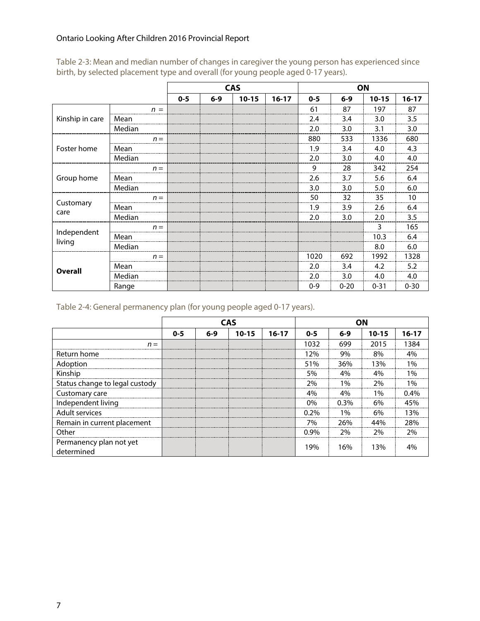|                       |        |         |         | <b>CAS</b> |         |         |          | ON        |          |
|-----------------------|--------|---------|---------|------------|---------|---------|----------|-----------|----------|
|                       |        | $0 - 5$ | $6 - 9$ | $10 - 15$  | $16-17$ | $0 - 5$ | $6-9$    | $10 - 15$ | $16-17$  |
|                       | $n =$  |         |         |            |         | 61      | 87       | 197       | 87       |
| Kinship in care       | Mean   |         |         |            |         | 2.4     | 3.4      | 3.0       | 3.5      |
|                       | Median |         |         |            |         | 2.0     | 3.0      | 3.1       | 3.0      |
|                       | $n =$  |         |         |            |         | 880     | 533      | 1336      | 680      |
| Foster home           | Mean   |         |         |            |         | 1.9     | 3.4      | 4.0       | 4.3      |
|                       | Median |         |         |            |         | 2.0     | 3.0      | 4.0       | 4.0      |
|                       | $n =$  |         |         |            |         | 9       | 28       | 342       | 254      |
| Group home            | Mean   |         |         |            |         | 2.6     | 3.7      | 5.6       | 6.4      |
|                       | Median |         |         |            |         | 3.0     | 3.0      | 5.0       | 6.0      |
|                       | $n =$  |         |         |            |         | 50      | 32       | 35        | 10       |
| Customary<br>care     | Mean   |         |         |            |         | 1.9     | 3.9      | 2.6       | 6.4      |
|                       | Median |         |         |            |         | 2.0     | 3.0      | 2.0       | 3.5      |
|                       | $n =$  |         |         |            |         |         |          | 3         | 165      |
| Independent<br>living | Mean   |         |         |            |         |         |          | 10.3      | 6.4      |
|                       | Median |         |         |            |         |         |          | 8.0       | 6.0      |
|                       | $n =$  |         |         |            |         | 1020    | 692      | 1992      | 1328     |
| <b>Overall</b>        | Mean   |         |         |            |         | 2.0     | 3.4      | 4.2       | 5.2      |
|                       | Median |         |         |            |         | 2.0     | 3.0      | 4.0       | 4.0      |
|                       | Range  |         |         |            |         | $0 - 9$ | $0 - 20$ | $0 - 31$  | $0 - 30$ |

Table 2-3: Mean and median number of changes in caregiver the young person has experienced since birth, by selected placement type and overall (for young people aged 0-17 years).

Table 2-4: General permanency plan (for young people aged 0-17 years).

|                                       |         |         | <b>CAS</b> |         |         |         | ΩN        |           |
|---------------------------------------|---------|---------|------------|---------|---------|---------|-----------|-----------|
|                                       | $0 - 5$ | $6 - 9$ | $10 - 15$  | $16-17$ | $0 - 5$ | $6 - 9$ | $10 - 15$ | $16 - 17$ |
| $n =$                                 |         |         |            |         | 1032    | 699     | 2015      | 1384      |
| Return home                           |         |         |            |         | 12%     | 9%      | 8%        | 4%        |
| Adoption                              |         |         |            |         | 51%     | 36%     | 13%       | 1%        |
| Kinship                               |         |         |            |         | 5%      | 4%      | 4%        | $1\%$     |
| Status change to legal custody        |         |         |            |         | 2%      | $1\%$   | 2%        | $1\%$     |
| Customary care                        |         |         |            |         | 4%      | 4%      | $1\%$     | በ 4%      |
| Independent living                    |         |         |            |         | 0%      | $0.3\%$ | 6%        | 45%       |
| Adult services                        |         |         |            |         | $0.2\%$ | $1\%$   | 6%        | l 3%      |
| Remain in current placement           |         |         |            |         | 7%      | 26%     | 44%       | 28%       |
| Other                                 |         |         |            |         | $0.9\%$ | 2%      | 2%        | 2%        |
| Permanency plan not yet<br>determined |         |         |            |         | 19%     | 16%     | 13%       |           |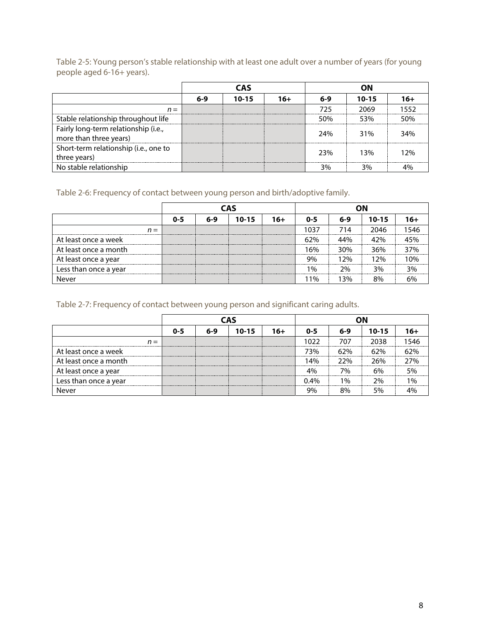Table 2-5: Young person's stable relationship with at least one adult over a number of years (for young people aged 6-16+ years).

|                                                                | <b>CAS</b> |           |       | ΟN  |           |      |  |  |
|----------------------------------------------------------------|------------|-----------|-------|-----|-----------|------|--|--|
|                                                                | $6-9$      | $10 - 15$ | $16+$ | 6-9 | $10 - 15$ | 16+  |  |  |
| $n =$                                                          |            |           |       | フフち | 2069      | 1552 |  |  |
| Stable relationship throughout life                            |            |           |       | 50% | 53%       | 50%  |  |  |
| Fairly long-term relationship (i.e.,<br>more than three years) |            |           |       | 24% | 31%       | 34%  |  |  |
| Short-term relationship (i.e., one to<br>three years)          |            |           |       | 23% | 13%       | 12%  |  |  |
| No stable relationship                                         |            |           |       | 3%  | 3%        |      |  |  |

Table 2-6: Frequency of contact between young person and birth/adoptive family.

|                       |         |     | CAS       |     |         |       |           |       |
|-----------------------|---------|-----|-----------|-----|---------|-------|-----------|-------|
|                       | $0 - 5$ | 6-9 | $10 - 15$ | 16+ | $0 - 5$ | $6-9$ | $10 - 15$ | 16+   |
| $n =$                 |         |     |           |     | 1037    | 714   | 2046      | 546   |
| At least once a week  |         |     |           |     | 62%     | 44%   | 42%       |       |
| At least once a month |         |     |           |     | 16%     | 30%   | 36%       | 37%   |
| At least once a year  |         |     |           |     | 9%      | 1 2%  | ን%        | $0\%$ |
| Less than once a year |         |     |           |     | 1%      | 2%    | 3%        | 3%    |
| Never                 |         |     |           |     | 1%      | 13%   | 8%        |       |

Table 2-7: Frequency of contact between young person and significant caring adults.

|                       |         |     | <b>CAS</b> |     |         |       |           |               |
|-----------------------|---------|-----|------------|-----|---------|-------|-----------|---------------|
|                       | $0 - 5$ | 6-9 | $10 - 15$  | 16+ | $0 - 5$ | 6-9   | $10 - 15$ |               |
| n =                   |         |     |            |     | 1022    | 707   | 2038      | 546           |
| At least once a week  |         |     |            |     | 73%     | 62%   | 62%       | 70/           |
| At least once a month |         |     |            |     | 4% ا    | 22%   | 26%       | ን7%           |
| At least once a year  |         |     |            |     | 4%      | 7%    | 6%        | 5%            |
| Less than once a year |         |     |            |     | 14%     | $1\%$ | ን%        | $\frac{0}{6}$ |
| Never                 |         |     |            |     | 9%      | 8%    | 5%        |               |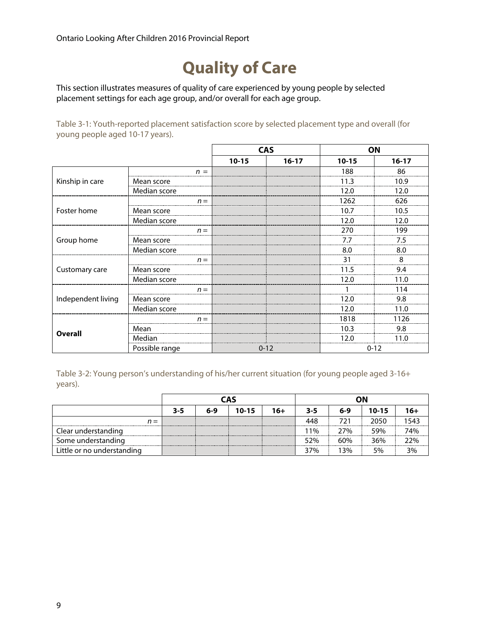### **Quality of Care**

This section illustrates measures of quality of care experienced by young people by selected placement settings for each age group, and/or overall for each age group.

Table 3-1: Youth-reported placement satisfaction score by selected placement type and overall (for young people aged 10-17 years).

|                    |                |           | <b>CAS</b> |           | ON        |
|--------------------|----------------|-----------|------------|-----------|-----------|
|                    |                | $10 - 15$ | $16 - 17$  | $10 - 15$ | $16 - 17$ |
|                    | $n =$          |           |            | 188       | 86        |
| Kinship in care    | Mean score     |           |            | 11.3      | 10.9      |
|                    | Median score   |           |            | 12.0      | 12.0      |
|                    | $n =$          |           |            | 1262      | 626       |
| Foster home        | Mean score     |           |            | 10.7      | 10.5      |
|                    | Median score   |           |            | 12.0      | 12.0      |
|                    | $n =$          |           |            | 270       | 199       |
| Group home         | Mean score     |           |            | 7.7       | 7.5       |
|                    | Median score   |           |            | 8.0       | 8.0       |
|                    | $n =$          |           |            | 31        | 8         |
| Customary care     | Mean score     |           |            | 11.5      | 9.4       |
|                    | Median score   |           |            | 12.0      | 11.0      |
|                    | $n =$          |           |            |           | 114       |
| Independent living | Mean score     |           |            | 12.0      | 9.8       |
|                    | Median score   |           |            | 12.0      | 11.0      |
|                    | $n =$          |           |            | 1818      | 1126      |
|                    | Mean           |           |            | 10.3      | 9.8       |
| Overall            | Median         |           |            | 12.0      | 11.0      |
|                    | Possible range |           | $0 - 12$   |           | $0 - 12$  |

Table 3-2: Young person's understanding of his/her current situation (for young people aged 3-16+ years).

|                            |     |                                                            | <b>CAS</b> |  |     | ωN  |      |      |
|----------------------------|-----|------------------------------------------------------------|------------|--|-----|-----|------|------|
|                            | 3-5 | $10 - 15$<br>$16+$<br>$6 - 9$<br>$10 - 15$<br>$6-9$<br>3-5 |            |  |     |     |      | 16+  |
| $n =$                      |     |                                                            |            |  | 448 | 721 | 2050 | 1543 |
| Clear understanding        |     |                                                            |            |  | 11% | 27% | 59%  | 74%  |
| Some understanding         |     |                                                            |            |  | 52% | 60% | 36%  | 22%  |
| Little or no understanding |     |                                                            |            |  | 37% | 13% | 5%   | 3%   |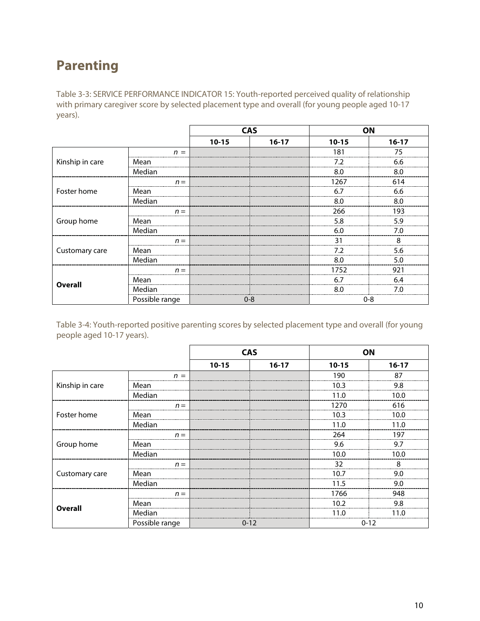### **Parenting**

Table 3-3: SERVICE PERFORMANCE INDICATOR 15: Youth-reported perceived quality of relationship with primary caregiver score by selected placement type and overall (for young people aged 10-17 years).

|                                   |                |           | <b>CAS</b> | ON        |         |
|-----------------------------------|----------------|-----------|------------|-----------|---------|
|                                   |                | $10 - 15$ | $16-17$    | $10 - 15$ | $16-17$ |
|                                   | $n =$          |           |            | 181       | 75      |
| Kinship in care<br><b>Overall</b> | Mean           |           |            | 7.2       | 6.6     |
|                                   | Median         |           |            | 8.0       | 8.0     |
|                                   | $n =$          |           |            | 1267      | 614     |
| Foster home                       | Mean           |           |            | 6.7       | 6.6     |
|                                   | Median         |           |            | 8.0       | 8.0     |
|                                   | $n =$          |           |            | 266       | 193     |
| Group home                        | Mean           |           |            | 5.8       | 5.9     |
|                                   | Median         |           |            | 6.0       | 7.0     |
|                                   | $n =$          |           |            | 31        | 8       |
| Customary care                    | Mean           |           |            | 7.2       | 5.6     |
|                                   | Median         |           |            | 8.0       | 5.0     |
|                                   | $n =$          |           |            | 1752      | 921     |
|                                   | Mean           |           |            | 6.7       | 6.4     |
|                                   | Median         |           |            | 8.0       | 7.0     |
|                                   | Possible range |           | $0 - 8$    | $0 - 8$   |         |

Table 3-4: Youth-reported positive parenting scores by selected placement type and overall (for young people aged 10-17 years).

|                 |                |                                                            |           | ON        |         |
|-----------------|----------------|------------------------------------------------------------|-----------|-----------|---------|
|                 |                | $10 - 15$                                                  | $16 - 17$ | $10 - 15$ | $16-17$ |
|                 | n<br>$\equiv$  |                                                            |           | 190       | 87      |
| Kinship in care | Mean           |                                                            |           | 10.3      | 9.8     |
|                 | Median         | <b>CAS</b><br>$n =$<br>$n =$<br>$n =$<br>$n =$<br>$0 - 12$ |           | 11.0      | 10.0    |
|                 |                |                                                            |           | 1270      | 616     |
| Foster home     | Mean           |                                                            |           | 10.3      | 10.0    |
|                 | Median         |                                                            |           | 11.0      | 11.0    |
|                 |                |                                                            |           | 264       | 197     |
| Group home      | Mean           |                                                            |           | 9.6       | 9.7     |
|                 | Median         | 10.0<br>32<br>10.7<br>11.5<br>1766<br>10.2                 |           | 10.0      |         |
|                 |                |                                                            |           |           | 8       |
| Customary care  | Mean           |                                                            |           |           | 9.0     |
|                 | Median         |                                                            |           |           | 9.0     |
|                 |                |                                                            |           |           | 948     |
|                 | Mean           |                                                            |           |           | 9.8     |
| <b>Overall</b>  | Median         |                                                            |           |           |         |
|                 | Possible range |                                                            |           | $0 - 12$  |         |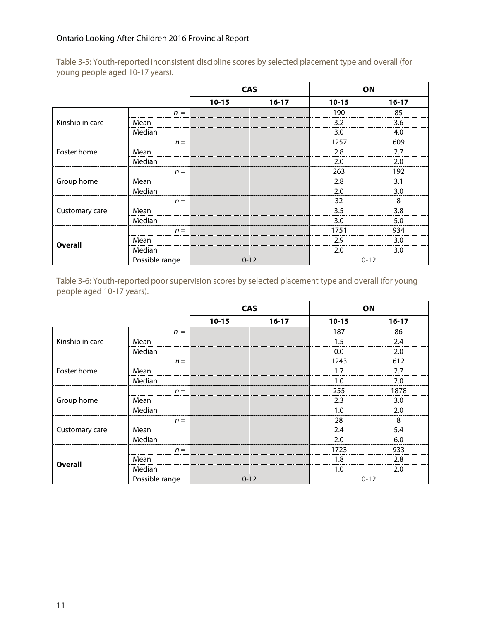|                 |                | $10 - 15$      | $16-17$                                                                                                                                                                                                                      | $10 - 15$ | $16-17$ |
|-----------------|----------------|----------------|------------------------------------------------------------------------------------------------------------------------------------------------------------------------------------------------------------------------------|-----------|---------|
|                 | $n =$          |                |                                                                                                                                                                                                                              | 190       | 85      |
| Kinship in care | Mean           |                |                                                                                                                                                                                                                              | 3.2       | 3.6     |
|                 | Median         |                | <b>CAS</b><br>ON<br>3.0<br>4.0<br>1257<br>609<br>2.8<br>2.7<br>2.0<br>2.0<br>263<br>192<br>2.8<br>3.1<br>2.0<br>3.0<br>32<br>8<br>3.5<br>3.8<br>3.0<br>5.0<br>1751<br>934<br>2.9<br>3.0<br>2.0<br>۹0<br>$0 - 12$<br>$0 - 12$ |           |         |
|                 | $n =$          |                |                                                                                                                                                                                                                              |           |         |
| Foster home     | Mean           |                |                                                                                                                                                                                                                              |           |         |
|                 | Median         |                |                                                                                                                                                                                                                              |           |         |
|                 | $n =$          |                |                                                                                                                                                                                                                              |           |         |
| Group home      | Mean           |                |                                                                                                                                                                                                                              |           |         |
|                 | Median         | $n =$<br>$n =$ |                                                                                                                                                                                                                              |           |         |
|                 |                |                |                                                                                                                                                                                                                              |           |         |
| Customary care  | Mean           |                |                                                                                                                                                                                                                              |           |         |
|                 | Median         |                |                                                                                                                                                                                                                              |           |         |
|                 |                |                |                                                                                                                                                                                                                              |           |         |
|                 | Mean           |                |                                                                                                                                                                                                                              |           |         |
| <b>Overall</b>  | Median         |                |                                                                                                                                                                                                                              |           |         |
|                 | Possible range |                |                                                                                                                                                                                                                              |           |         |

Table 3-5: Youth-reported inconsistent discipline scores by selected placement type and overall (for young people aged 10-17 years).

Table 3-6: Youth-reported poor supervision scores by selected placement type and overall (for young people aged 10-17 years).

|                 |                | $10 - 15$      | $16-17$                                                                                                                                                                                                                        | $10 - 15$ | $16-17$ |
|-----------------|----------------|----------------|--------------------------------------------------------------------------------------------------------------------------------------------------------------------------------------------------------------------------------|-----------|---------|
|                 | $n =$          |                |                                                                                                                                                                                                                                | 187       | 86      |
| Kinship in care | Mean           |                |                                                                                                                                                                                                                                | 1.5       | 2.4     |
|                 | Median         |                | <b>CAS</b><br>ΟN<br>0.0<br>2.0<br>1243<br>612<br>2.7<br>1.7<br>2.0<br>1.0<br>255<br>1878<br>2.3<br>3.0<br>2.0<br>1.0<br>28<br>8<br>2.4<br>5.4<br>2.0<br>6.0<br>1723<br>933<br>2.8<br>1.8<br>2.0<br>1.0<br>$0 - 12$<br>$0 - 12$ |           |         |
|                 | $n =$          |                |                                                                                                                                                                                                                                |           |         |
| Foster home     | Mean           |                |                                                                                                                                                                                                                                |           |         |
|                 | Median         | $n =$<br>$n =$ |                                                                                                                                                                                                                                |           |         |
|                 |                |                |                                                                                                                                                                                                                                |           |         |
| Group home      | Mean           |                |                                                                                                                                                                                                                                |           |         |
|                 | Median         |                |                                                                                                                                                                                                                                |           |         |
|                 |                |                |                                                                                                                                                                                                                                |           |         |
| Customary care  | Mean           |                |                                                                                                                                                                                                                                |           |         |
|                 | Median         |                |                                                                                                                                                                                                                                |           |         |
|                 | $n =$          |                |                                                                                                                                                                                                                                |           |         |
|                 | Mean           |                |                                                                                                                                                                                                                                |           |         |
| <b>Overall</b>  | Median         |                |                                                                                                                                                                                                                                |           |         |
|                 | Possible range |                |                                                                                                                                                                                                                                |           |         |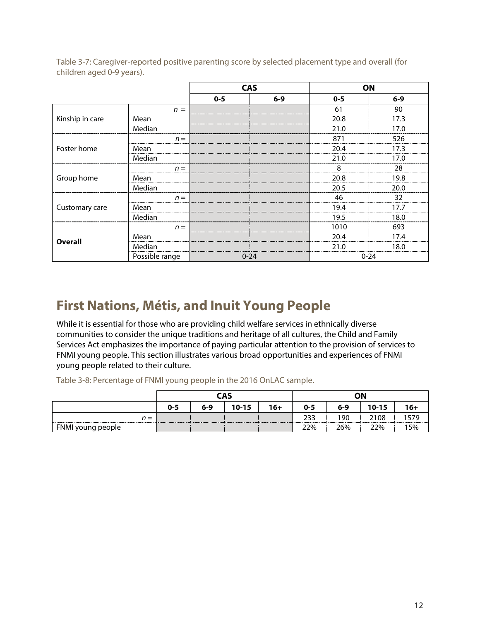|                 |                                            | $0 - 5$                                                                                                                        | $6 - 9$ | $0 - 5$  | $6 - 9$ |  |
|-----------------|--------------------------------------------|--------------------------------------------------------------------------------------------------------------------------------|---------|----------|---------|--|
|                 | $n =$                                      |                                                                                                                                |         | 61       | 90      |  |
| Kinship in care | Mean                                       |                                                                                                                                |         | 20.8     | 17.3    |  |
|                 | Median                                     | <b>CAS</b><br>ON<br>21.0<br>871<br>20.4<br>21.0<br>8<br>20.8<br>20.5<br>46<br>19.4<br>19.5<br>1010<br>20.4<br>21.0<br>$0 - 24$ | 17.0    |          |         |  |
|                 | $n =$                                      |                                                                                                                                |         |          | 526     |  |
| Foster home     | Mean                                       |                                                                                                                                |         |          | 17.3    |  |
|                 | Median                                     |                                                                                                                                |         |          | 17.0    |  |
|                 | $n =$                                      |                                                                                                                                |         |          | 28      |  |
| Group home      | Mean                                       |                                                                                                                                |         |          | 19.8    |  |
|                 | Median<br>$n =$<br>Mean<br>Median<br>$n =$ |                                                                                                                                |         | 20.0     |         |  |
|                 |                                            |                                                                                                                                |         |          | 32      |  |
| Customary care  |                                            |                                                                                                                                |         |          | 17.7    |  |
|                 |                                            |                                                                                                                                |         |          | 18.0    |  |
|                 |                                            |                                                                                                                                |         |          | 693     |  |
|                 | Mean                                       |                                                                                                                                |         |          | 17.4    |  |
| <b>Overall</b>  | Median                                     |                                                                                                                                |         |          | 18.0    |  |
|                 | Possible range                             |                                                                                                                                |         | $0 - 24$ |         |  |

Table 3-7: Caregiver-reported positive parenting score by selected placement type and overall (for children aged 0-9 years).

### **First Nations, Métis, and Inuit Young People**

While it is essential for those who are providing child welfare services in ethnically diverse communities to consider the unique traditions and heritage of all cultures, the Child and Family Services Act emphasizes the importance of paying particular attention to the provision of services to FNMI young people. This section illustrates various broad opportunities and experiences of FNMI young people related to their culture.

Table 3-8: Percentage of FNMI young people in the 2016 OnLAC sample.

|                   |         |     | CAS       |       |     | ΟN<br>$10 - 15$<br>6-9<br>$0 - 5$<br>233<br>190<br>2108 |     |       |
|-------------------|---------|-----|-----------|-------|-----|---------------------------------------------------------|-----|-------|
|                   | $0 - 5$ | 6-9 | $10 - 15$ | $16+$ |     |                                                         |     | $16+$ |
| $n =$             |         |     |           |       |     |                                                         |     |       |
| FNMI young people |         |     |           |       | 22% | 26%                                                     | 22% | 5%    |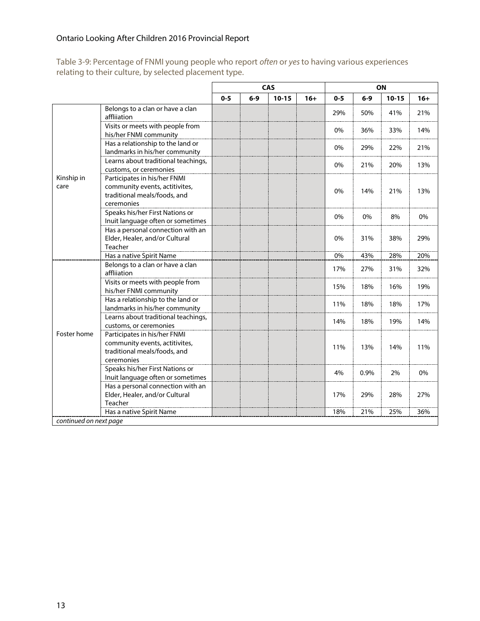Table 3-9: Percentage of FNMI young people who report often or yes to having various experiences relating to their culture, by selected placement type.

|                           |                                                                                                              |         |       | CAS       |       |         |       | ON        |       |
|---------------------------|--------------------------------------------------------------------------------------------------------------|---------|-------|-----------|-------|---------|-------|-----------|-------|
|                           |                                                                                                              | $0 - 5$ | $6-9$ | $10 - 15$ | $16+$ | $0 - 5$ | $6-9$ | $10 - 15$ | $16+$ |
|                           | Belongs to a clan or have a clan<br>affliiation                                                              |         |       |           |       | 29%     | 50%   | 41%       | 21%   |
|                           | Visits or meets with people from<br>his/her FNMI community                                                   |         |       |           |       | 0%      | 36%   | 33%       | 14%   |
|                           | Has a relationship to the land or<br>landmarks in his/her community                                          |         |       |           |       | 0%      | 29%   | 22%       | 21%   |
|                           | Learns about traditional teachings,<br>customs, or ceremonies                                                |         |       |           |       | 0%      | 21%   | 20%       | 13%   |
| care                      | Participates in his/her FNMI<br>community events, actitivites,<br>traditional meals/foods, and<br>ceremonies |         |       |           |       | 0%      | 14%   | 21%       | 13%   |
|                           | Speaks his/her First Nations or<br>Inuit language often or sometimes                                         |         |       |           |       | 0%      | 0%    | 8%        | 0%    |
| Kinship in<br>Foster home | Has a personal connection with an<br>Elder, Healer, and/or Cultural<br>Teacher                               |         |       |           |       | 0%      | 31%   | 38%       | 29%   |
|                           | Has a native Spirit Name                                                                                     |         |       |           |       | 0%      | 43%   | 28%       | 20%   |
|                           | Belongs to a clan or have a clan<br>affliiation                                                              |         |       |           |       | 17%     | 27%   | 31%       | 32%   |
|                           | Visits or meets with people from<br>his/her FNMI community                                                   |         |       |           |       | 15%     | 18%   | 16%       | 19%   |
|                           | Has a relationship to the land or<br>landmarks in his/her community                                          |         |       |           |       | 11%     | 18%   | 18%       | 17%   |
|                           | Learns about traditional teachings,<br>customs, or ceremonies                                                |         |       |           |       | 14%     | 18%   | 19%       | 14%   |
|                           | Participates in his/her FNMI<br>community events, actitivites,<br>traditional meals/foods, and<br>ceremonies |         |       |           |       | 11%     | 13%   | 14%       | 11%   |
|                           | Speaks his/her First Nations or<br>Inuit language often or sometimes                                         |         |       |           |       | 4%      | 0.9%  | 2%        | 0%    |
|                           | Has a personal connection with an<br>Elder, Healer, and/or Cultural<br>Teacher                               |         |       |           |       | 17%     | 29%   | 28%       | 27%   |
|                           | Has a native Spirit Name                                                                                     |         |       |           |       | 18%     | 21%   | 25%       | 36%   |
| continued on next page    |                                                                                                              |         |       |           |       |         |       |           |       |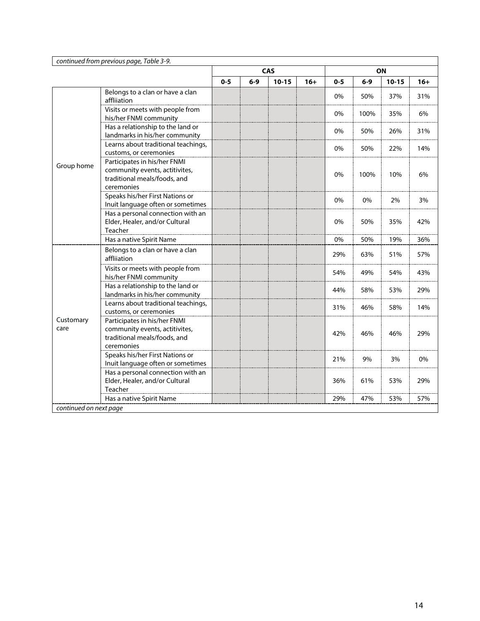|                        | continued from previous page, Table 3-9.                                                                     |         |       |            |       |         |      |           |       |
|------------------------|--------------------------------------------------------------------------------------------------------------|---------|-------|------------|-------|---------|------|-----------|-------|
|                        |                                                                                                              |         |       | <b>CAS</b> |       |         |      | ON        |       |
|                        |                                                                                                              | $0 - 5$ | $6-9$ | $10 - 15$  | $16+$ | $0 - 5$ | 6-9  | $10 - 15$ | $16+$ |
|                        | Belongs to a clan or have a clan<br>affliiation                                                              |         |       |            |       | 0%      | 50%  | 37%       | 31%   |
|                        | Visits or meets with people from<br>his/her FNMI community                                                   |         |       |            |       | 0%      | 100% | 35%       | 6%    |
|                        | Has a relationship to the land or<br>landmarks in his/her community                                          |         |       |            |       | 0%      | 50%  | 26%       | 31%   |
|                        | Learns about traditional teachings,<br>customs, or ceremonies                                                |         |       |            |       | 0%      | 50%  | 22%       | 14%   |
| Group home             | Participates in his/her FNMI<br>community events, actitivites,<br>traditional meals/foods, and<br>ceremonies |         |       |            |       | 0%      | 100% | 10%       | 6%    |
|                        | Speaks his/her First Nations or<br>Inuit language often or sometimes                                         |         |       |            |       | 0%      | 0%   | 2%        | 3%    |
|                        | Has a personal connection with an<br>Elder, Healer, and/or Cultural<br>Teacher                               |         |       |            |       | 0%      | 50%  | 35%       | 42%   |
|                        | Has a native Spirit Name                                                                                     |         |       |            |       | 0%      | 50%  | 19%       | 36%   |
|                        | Belongs to a clan or have a clan<br>affliiation                                                              |         |       |            |       | 29%     | 63%  | 51%       | 57%   |
|                        | Visits or meets with people from<br>his/her FNMI community                                                   |         |       |            |       | 54%     | 49%  | 54%       | 43%   |
|                        | Has a relationship to the land or<br>landmarks in his/her community                                          |         |       |            |       | 44%     | 58%  | 53%       | 29%   |
|                        | Learns about traditional teachings,<br>customs, or ceremonies                                                |         |       |            |       | 31%     | 46%  | 58%       | 14%   |
| Customary<br>care      | Participates in his/her FNMI<br>community events, actitivites,<br>traditional meals/foods, and<br>ceremonies |         |       |            |       | 42%     | 46%  | 46%       | 29%   |
|                        | Speaks his/her First Nations or<br>Inuit language often or sometimes                                         |         |       |            |       | 21%     | 9%   | 3%        | 0%    |
|                        | Has a personal connection with an<br>Elder, Healer, and/or Cultural<br>Teacher                               |         |       |            |       | 36%     | 61%  | 53%       | 29%   |
|                        | Has a native Spirit Name                                                                                     |         |       |            |       | 29%     | 47%  | 53%       | 57%   |
| continued on next page |                                                                                                              |         |       |            |       |         |      |           |       |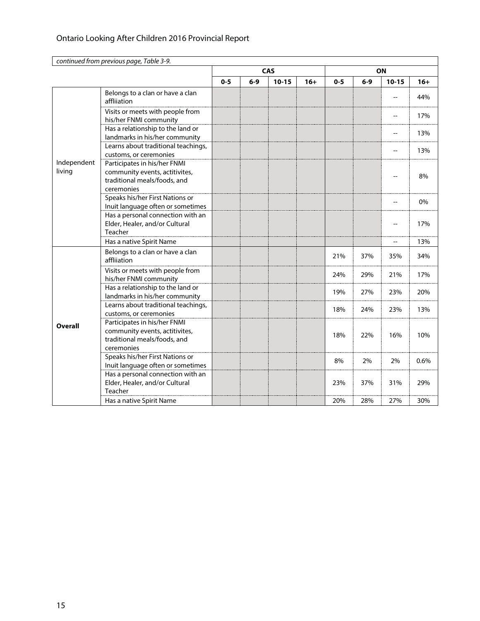|                       | continued from previous page, Table 3-9.                                                                     |         |       |            |                                                                                                                                                                                                     |         |     |                          |       |
|-----------------------|--------------------------------------------------------------------------------------------------------------|---------|-------|------------|-----------------------------------------------------------------------------------------------------------------------------------------------------------------------------------------------------|---------|-----|--------------------------|-------|
|                       |                                                                                                              |         |       | <b>CAS</b> |                                                                                                                                                                                                     |         |     |                          |       |
|                       |                                                                                                              | $0 - 5$ | $6-9$ | $10 - 15$  | $16+$                                                                                                                                                                                               | $0 - 5$ | 6-9 | $10 - 15$                | $16+$ |
|                       | Belongs to a clan or have a clan<br>affliiation                                                              |         |       |            |                                                                                                                                                                                                     |         |     |                          | 44%   |
|                       | Visits or meets with people from<br>his/her FNMI community                                                   |         |       |            |                                                                                                                                                                                                     |         |     | $\overline{\phantom{a}}$ | 17%   |
|                       | Has a relationship to the land or<br>landmarks in his/her community                                          |         |       |            |                                                                                                                                                                                                     |         |     | --                       | 13%   |
|                       | Learns about traditional teachings,<br>customs, or ceremonies                                                |         |       |            | ON<br>$\overline{\phantom{a}}$<br>21%<br>37%<br>35%<br>24%<br>29%<br>21%<br>27%<br>23%<br>19%<br>18%<br>24%<br>23%<br>18%<br>22%<br>16%<br>8%<br>2%<br>2%<br>23%<br>37%<br>31%<br>27%<br>20%<br>28% | 13%     |     |                          |       |
| Independent<br>living | Participates in his/her FNMI<br>community events, actitivites,<br>traditional meals/foods, and<br>ceremonies |         |       |            |                                                                                                                                                                                                     |         |     |                          | 8%    |
|                       | Speaks his/her First Nations or<br>Inuit language often or sometimes                                         |         |       |            |                                                                                                                                                                                                     |         |     |                          | 0%    |
|                       | Has a personal connection with an<br>Elder, Healer, and/or Cultural<br>Teacher                               |         |       |            |                                                                                                                                                                                                     |         |     |                          | 17%   |
|                       | Has a native Spirit Name                                                                                     |         |       |            |                                                                                                                                                                                                     |         |     |                          | 13%   |
|                       | Belongs to a clan or have a clan<br>affliiation                                                              |         |       |            |                                                                                                                                                                                                     |         |     |                          | 34%   |
|                       | Visits or meets with people from<br>his/her FNMI community                                                   |         |       |            |                                                                                                                                                                                                     |         |     |                          | 17%   |
|                       | Has a relationship to the land or<br>landmarks in his/her community                                          |         |       |            |                                                                                                                                                                                                     |         |     |                          | 20%   |
|                       | Learns about traditional teachings,<br>customs, or ceremonies                                                |         |       |            |                                                                                                                                                                                                     |         |     |                          | 13%   |
| <b>Overall</b>        | Participates in his/her FNMI<br>community events, actitivites,<br>traditional meals/foods, and<br>ceremonies |         |       |            |                                                                                                                                                                                                     |         |     |                          | 10%   |
|                       | Speaks his/her First Nations or<br>Inuit language often or sometimes                                         |         |       |            |                                                                                                                                                                                                     |         |     |                          | 0.6%  |
|                       | Has a personal connection with an<br>Elder, Healer, and/or Cultural<br>Teacher                               |         |       |            |                                                                                                                                                                                                     |         |     |                          | 29%   |
|                       | Has a native Spirit Name                                                                                     |         |       |            |                                                                                                                                                                                                     |         |     |                          | 30%   |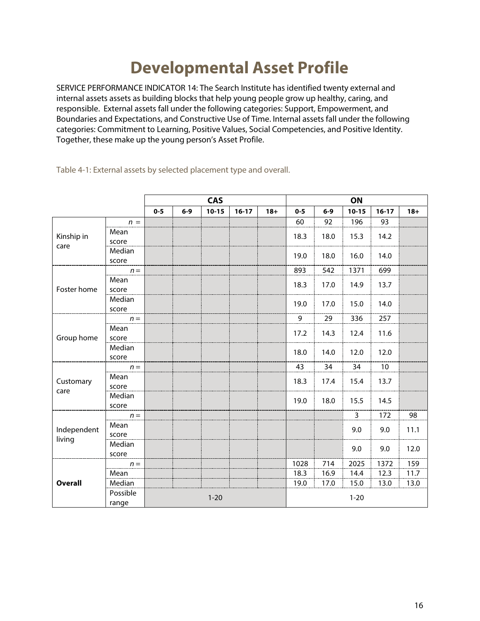### **Developmental Asset Profile**

SERVICE PERFORMANCE INDICATOR 14: The Search Institute has identified twenty external and internal assets assets as building blocks that help young people grow up healthy, caring, and responsible. External assets fall under the following categories: Support, Empowerment, and Boundaries and Expectations, and Constructive Use of Time. Internal assets fall under the following categories: Commitment to Learning, Positive Values, Social Competencies, and Positive Identity. Together, these make up the young person's Asset Profile.

|                                                                                                                 |                   |         |       | <b>CAS</b> |           |       |          |       | ON             |           |       |
|-----------------------------------------------------------------------------------------------------------------|-------------------|---------|-------|------------|-----------|-------|----------|-------|----------------|-----------|-------|
|                                                                                                                 |                   | $0 - 5$ | $6-9$ | $10 - 15$  | $16 - 17$ | $18+$ | $0 - 5$  | $6-9$ | $10 - 15$      | $16 - 17$ | $18+$ |
|                                                                                                                 | $n =$             |         |       |            |           |       | 60       | 92    | 196            | 93        |       |
| Kinship in<br>care<br>Foster home<br>Group home<br>Customary<br>care<br>Independent<br>living<br><b>Overall</b> | Mean<br>score     |         |       |            |           |       | 18.3     | 18.0  | 15.3           | 14.2      |       |
|                                                                                                                 | Median<br>score   |         |       |            |           |       | 19.0     | 18.0  | 16.0           | 14.0      |       |
|                                                                                                                 | $n =$             |         |       |            |           |       | 893      | 542   | 1371           | 699       |       |
|                                                                                                                 | Mean<br>score     |         |       |            |           |       | 18.3     | 17.0  | 14.9           | 13.7      |       |
|                                                                                                                 | Median<br>score   |         |       |            |           |       | 19.0     | 17.0  | 15.0           | 14.0      |       |
|                                                                                                                 | $n =$             |         |       |            |           |       | 9        | 29    | 336            | 257       |       |
|                                                                                                                 | Mean<br>score     |         |       |            |           |       | 17.2     | 14.3  | 12.4           | 11.6      |       |
|                                                                                                                 | Median<br>score   |         |       |            |           |       | 18.0     | 14.0  | 12.0           | 12.0      |       |
|                                                                                                                 | $n =$             |         |       |            |           |       | 43       | 34    | 34             | 10        |       |
|                                                                                                                 | Mean<br>score     |         |       |            |           |       | 18.3     | 17.4  | 15.4           | 13.7      |       |
|                                                                                                                 | Median<br>score   |         |       |            |           |       | 19.0     | 18.0  | 15.5           | 14.5      |       |
|                                                                                                                 | $n =$             |         |       |            |           |       |          |       | $\overline{3}$ | 172       | 98    |
|                                                                                                                 | Mean<br>score     |         |       |            |           |       |          |       | 9.0            | 9.0       | 11.1  |
|                                                                                                                 | Median<br>score   |         |       |            |           |       |          |       | 9.0            | 9.0       | 12.0  |
|                                                                                                                 | $n =$             |         |       |            |           |       | 1028     | 714   | 2025           | 1372      | 159   |
|                                                                                                                 | Mean              |         |       |            |           |       | 18.3     | 16.9  | 14.4           | 12.3      | 11.7  |
|                                                                                                                 | Median            |         |       |            |           |       | 19.0     | 17.0  | 15.0           | 13.0      | 13.0  |
|                                                                                                                 | Possible<br>range |         |       | $1 - 20$   |           |       | $1 - 20$ |       |                |           |       |

Table 4-1: External assets by selected placement type and overall.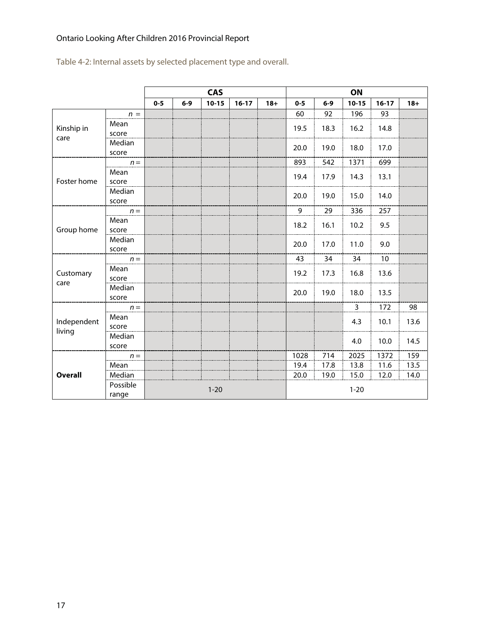Table 4-2: Internal assets by selected placement type and overall.

|                    |                   |         |       | <b>CAS</b> |           |        |                |       | ON        |                              |       |
|--------------------|-------------------|---------|-------|------------|-----------|--------|----------------|-------|-----------|------------------------------|-------|
|                    |                   | $0 - 5$ | $6-9$ | $10 - 15$  | $16 - 17$ | $18 +$ | $0 - 5$        | $6-9$ | $10 - 15$ | $16 - 17$                    | $18+$ |
|                    | $n =$             |         |       |            |           |        | 60             | 92    | 196       | 93                           |       |
| Kinship in<br>care | Mean<br>score     |         |       |            |           |        | 19.5           | 18.3  | 16.2      | 14.8                         |       |
|                    | Median<br>score   |         |       |            |           |        | 20.0           | 19.0  | 18.0      | 17.0                         |       |
|                    | $n =$             |         |       |            |           |        | 893            | 542   | 1371      | 699                          |       |
| Foster home        | Mean<br>score     |         |       |            |           |        | 19.4           | 17.9  | 14.3      | 13.1                         |       |
|                    | Median<br>score   |         |       |            |           |        | 20.0           | 19.0  | 15.0      | 14.0                         |       |
|                    | $n =$             |         |       |            |           |        | $\overline{9}$ | 29    | 336       | 257                          |       |
| Group home         | Mean<br>score     |         |       |            |           |        | 18.2           | 16.1  | 10.2      | 9.5                          |       |
|                    | Median<br>score   |         |       |            |           |        | 20.0           | 17.0  | 11.0      | 9.0                          |       |
|                    | $n =$             |         |       |            |           |        | 43             | 34    | 34        | 10                           |       |
| Customary<br>care  | Mean<br>score     |         |       |            |           |        | 19.2           | 17.3  | 16.8      | 13.6                         |       |
|                    | Median<br>score   |         |       |            |           |        | 20.0           | 19.0  | 18.0      | 13.5                         |       |
|                    | $n =$             |         |       |            |           |        |                |       | 3         | 172                          | 98    |
| Independent        | Mean<br>score     |         |       |            |           |        |                |       | 4.3       | 10.1                         | 13.6  |
| living             | Median<br>score   |         |       |            |           |        |                |       | 4.0       | 10.0<br>1372<br>11.6<br>12.0 | 14.5  |
|                    | $n =$             |         |       |            |           |        | 1028           | 714   | 2025      |                              | 159   |
|                    | Mean              |         |       |            |           |        | 19.4           | 17.8  | 13.8      |                              | 13.5  |
| <b>Overall</b>     | Median            |         |       |            |           |        | 20.0           | 19.0  | 15.0      |                              | 14.0  |
|                    | Possible<br>range |         |       | $1 - 20$   |           |        | $1 - 20$       |       |           |                              |       |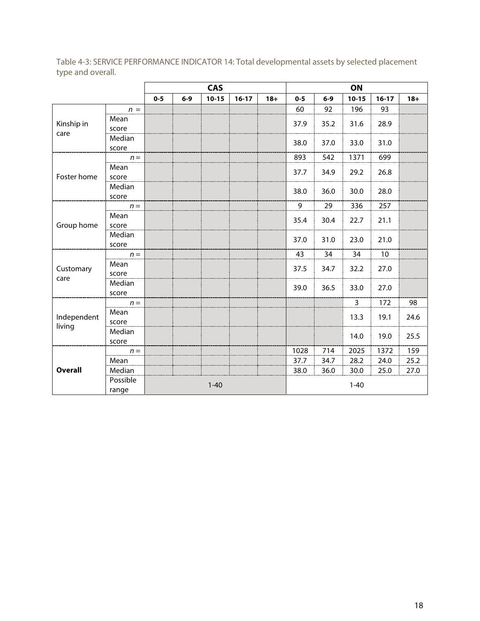|                       |                 |         |       | <b>CAS</b> |           |       |         |       | ON             |                                                                                                                         |        |
|-----------------------|-----------------|---------|-------|------------|-----------|-------|---------|-------|----------------|-------------------------------------------------------------------------------------------------------------------------|--------|
|                       |                 | $0 - 5$ | $6-9$ | $10 - 15$  | $16 - 17$ | $18+$ | $0 - 5$ | $6-9$ | $10 - 15$      | $16-17$                                                                                                                 | $18 +$ |
|                       | $n =$           |         |       |            |           |       | 60      | 92    | 196            | 93                                                                                                                      |        |
| Kinship in<br>care    | Mean<br>score   |         |       |            |           |       | 37.9    | 35.2  | 31.6           | 28.9                                                                                                                    |        |
|                       | Median<br>score |         |       |            |           |       | 38.0    | 37.0  | 33.0           | 31.0<br>699<br>26.8<br>28.0<br>257<br>21.1<br>21.0<br>10<br>27.0<br>27.0<br>172<br>19.1<br>19.0<br>1372<br>24.0<br>25.0 |        |
|                       | $n =$           |         |       |            |           |       | 893     | 542   | 1371           |                                                                                                                         |        |
| Foster home           | Mean<br>score   |         |       |            |           |       | 37.7    | 34.9  | 29.2           |                                                                                                                         |        |
|                       | Median<br>score |         |       |            |           |       | 38.0    | 36.0  | 30.0           |                                                                                                                         |        |
|                       | $n =$           |         |       |            |           |       | 9       | 29    | 336            |                                                                                                                         |        |
| Group home            | Mean<br>score   |         |       |            |           |       | 35.4    | 30.4  | 22.7           |                                                                                                                         |        |
|                       | Median<br>score |         |       |            |           |       | 37.0    | 31.0  | 23.0           |                                                                                                                         |        |
|                       | $n =$           |         |       |            |           |       | 43      | 34    | 34             |                                                                                                                         |        |
| Customary<br>care     | Mean<br>score   |         |       |            |           |       | 37.5    | 34.7  | 32.2           |                                                                                                                         |        |
|                       | Median<br>score |         |       |            |           |       | 39.0    | 36.5  | 33.0           |                                                                                                                         |        |
|                       | $n =$           |         |       |            |           |       |         |       | $\overline{3}$ |                                                                                                                         | 98     |
| Independent<br>living | Mean<br>score   |         |       |            |           |       |         |       | 13.3           |                                                                                                                         | 24.6   |
|                       | Median<br>score |         |       |            |           |       |         |       | 14.0           |                                                                                                                         | 25.5   |
|                       | $n =$           |         |       |            |           |       | 1028    | 714   | 2025           |                                                                                                                         | 159    |
|                       | Mean            |         |       |            |           |       | 37.7    | 34.7  | 28.2           |                                                                                                                         | 25.2   |
| <b>Overall</b>        | Median          |         |       |            |           |       | 38.0    | 36.0  | 30.0           |                                                                                                                         | 27.0   |
|                       | Possible        |         |       | $1 - 40$   |           |       |         |       | $1 - 40$       |                                                                                                                         |        |

range

Table 4-3: SERVICE PERFORMANCE INDICATOR 14: Total developmental assets by selected placement type and overall.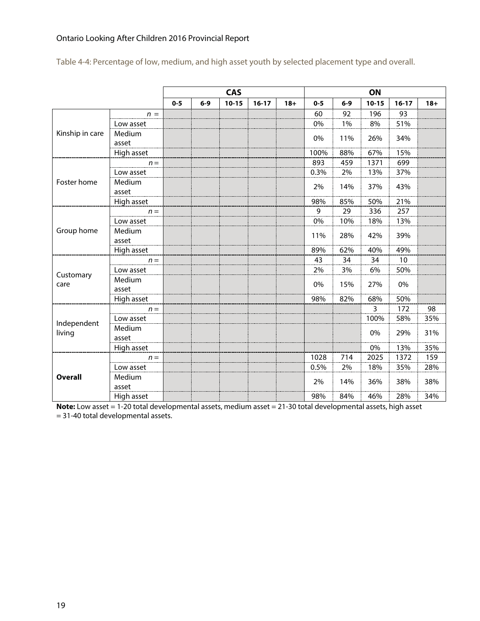|                       |                 |         |       | <b>CAS</b> |           |       |         |       | ON        |           |       |
|-----------------------|-----------------|---------|-------|------------|-----------|-------|---------|-------|-----------|-----------|-------|
|                       |                 | $0 - 5$ | $6-9$ | $10 - 15$  | $16 - 17$ | $18+$ | $0 - 5$ | $6-9$ | $10 - 15$ | $16 - 17$ | $18+$ |
|                       | $n =$           |         |       |            |           |       | 60      | 92    | 196       | 93        |       |
|                       | Low asset       |         |       |            |           |       | 0%      | 1%    | 8%        | 51%       |       |
| Kinship in care       | Medium<br>asset |         |       |            |           |       | 0%      | 11%   | 26%       | 34%       |       |
|                       | High asset      |         |       |            |           |       | 100%    | 88%   | 67%       | 15%       |       |
|                       | $n =$           |         |       |            |           |       | 893     | 459   | 1371      | 699       |       |
|                       | Low asset       |         |       |            |           |       | 0.3%    | 2%    | 13%       | 37%       |       |
| Foster home           | Medium<br>asset |         |       |            |           |       | 2%      | 14%   | 37%       | 43%       |       |
|                       | High asset      |         |       |            |           |       | 98%     | 85%   | 50%       | 21%       |       |
| Group home            | $n =$           |         |       |            |           |       | 9       | 29    | 336       | 257       |       |
|                       | Low asset       |         |       |            |           |       | 0%      | 10%   | 18%       | 13%       |       |
|                       | Medium<br>asset |         |       |            |           |       | 11%     | 28%   | 42%       | 39%       |       |
|                       | High asset      |         |       |            |           |       | 89%     | 62%   | 40%       | 49%       |       |
|                       | $n =$           |         |       |            |           |       | 43      | 34    | 34        | 10        |       |
|                       | Low asset       |         |       |            |           |       | 2%      | 3%    | 6%        | 50%       |       |
| Customary<br>care     | Medium<br>asset |         |       |            |           |       | 0%      | 15%   | 27%       | 0%        |       |
|                       | High asset      |         |       |            |           |       | 98%     | 82%   | 68%       | 50%       |       |
|                       | $n =$           |         |       |            |           |       |         |       | 3         | 172       | 98    |
|                       | Low asset       |         |       |            |           |       |         |       | 100%      | 58%       | 35%   |
| Independent<br>living | Medium<br>asset |         |       |            |           |       |         |       | 0%        | 29%       | 31%   |
|                       | High asset      |         |       |            |           |       |         |       | 0%        | 13%       | 35%   |
|                       | $n =$           |         |       |            |           |       | 1028    | 714   | 2025      | 1372      | 159   |
|                       | Low asset       |         |       |            |           |       | 0.5%    | 2%    | 18%       | 35%       | 28%   |
| <b>Overall</b>        | Medium<br>asset |         |       |            |           |       | 2%      | 14%   | 36%       | 38%       | 38%   |
|                       | High asset      |         |       |            |           |       | 98%     | 84%   | 46%       | 28%       | 34%   |

Table 4-4: Percentage of low, medium, and high asset youth by selected placement type and overall.

**Note:** Low asset = 1-20 total developmental assets, medium asset = 21-30 total developmental assets, high asset = 31-40 total developmental assets.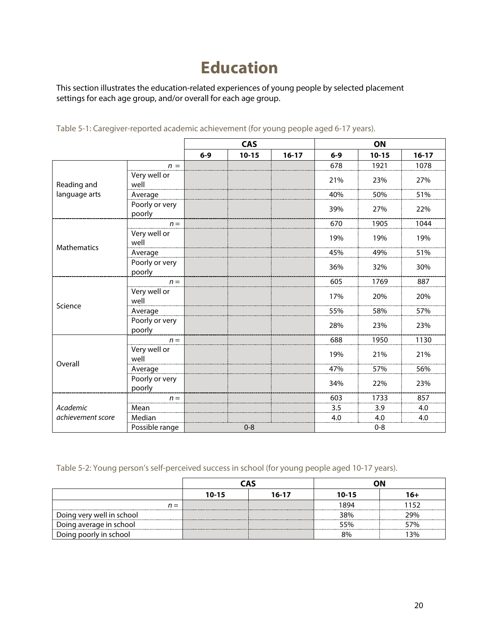# **Education**

This section illustrates the education-related experiences of young people by selected placement settings for each age group, and/or overall for each age group.

|                    |                          |       | <b>CAS</b> |           |         | ON        |           |  |
|--------------------|--------------------------|-------|------------|-----------|---------|-----------|-----------|--|
|                    |                          | $6-9$ | $10 - 15$  | $16 - 17$ | $6-9$   | $10 - 15$ | $16 - 17$ |  |
|                    | $n =$                    |       |            |           | 678     | 1921      | 1078      |  |
| Reading and        | Very well or<br>well     |       |            |           | 21%     | 23%       | 27%       |  |
| language arts      | Average                  |       |            |           | 40%     | 50%       | 51%       |  |
|                    | Poorly or very<br>poorly |       |            |           | 39%     | 27%       | 22%       |  |
|                    | $n =$                    |       |            |           | 670     | 1905      | 1044      |  |
|                    | Very well or<br>well     |       |            |           | 19%     | 19%       | 19%       |  |
| <b>Mathematics</b> | Average                  |       |            |           | 45%     | 49%       | 51%       |  |
|                    | Poorly or very<br>poorly |       |            |           | 36%     | 32%       | 30%       |  |
|                    | $n =$                    |       |            |           | 605     | 1769      | 887       |  |
| Science            | Very well or<br>well     |       |            |           | 17%     | 20%       | 20%       |  |
|                    | Average                  |       |            |           | 55%     | 58%       | 57%       |  |
|                    | Poorly or very<br>poorly |       |            |           | 28%     | 23%       | 23%       |  |
|                    | $n =$                    |       |            |           | 688     | 1950      | 1130      |  |
|                    | Very well or<br>well     |       |            |           | 19%     | 21%       | 21%       |  |
| Overall            | Average                  |       |            |           | 47%     | 57%       | 56%       |  |
|                    | Poorly or very<br>poorly |       |            |           | 34%     | 22%       | 23%       |  |
|                    | $n =$                    |       |            |           | 603     | 1733      | 857       |  |
| Academic           | Mean                     |       |            |           | 3.5     | 3.9       | 4.0       |  |
| achievement score  | Median                   |       |            |           | 4.0     | 4.0       | 4.0       |  |
|                    | Possible range           |       | $0 - 8$    |           | $0 - 8$ |           |           |  |

Table 5-1: Caregiver-reported academic achievement (for young people aged 6-17 years).

Table 5-2: Young person's self-perceived success in school (for young people aged 10-17 years).

|                           | nΩ<br><b>CAS</b> |                    |      |      |
|---------------------------|------------------|--------------------|------|------|
|                           | $10 - 15$        | $10 - 15$<br>16-17 |      |      |
| $n =$                     |                  |                    | 1894 | 1152 |
| Doing very well in school |                  |                    | 38%  | 29%  |
| Doing average in school   |                  |                    | 55%  | 57%  |
| Doing poorly in school    |                  |                    | 8%   | l 3% |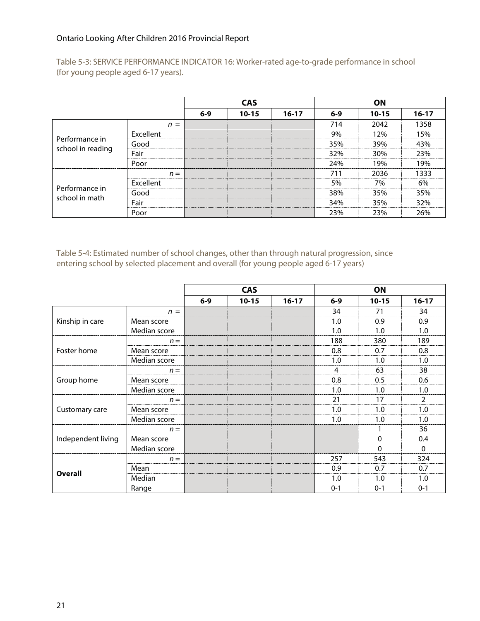Table 5-3: SERVICE PERFORMANCE INDICATOR 16: Worker-rated age-to-grade performance in school (for young people aged 6-17 years).

|                                     |                  | CAS   |           |           |         |           |         |
|-------------------------------------|------------------|-------|-----------|-----------|---------|-----------|---------|
|                                     |                  | $6-9$ | $10 - 15$ | $16 - 17$ | $6-9$   | $10 - 15$ | $16-17$ |
|                                     | $n =$            |       |           |           | 714     | 2042      | 1358    |
|                                     | <b>Excellent</b> |       |           |           | 9%      | 12%       | I 5%    |
| Performance in<br>school in reading | Good             |       |           |           | 35%     | 39%       | 43%     |
|                                     | Fair             |       |           |           | 32%     | 30%       | ን3%     |
|                                     | Poor             |       |           |           | 24%     | 19%       |         |
|                                     | $n =$            |       |           |           |         | 2036<br>  | 1333    |
|                                     | Excellent        |       |           |           | 5%      | 7%        | 6%      |
| Performance in<br>school in math    | Good             |       |           |           | 38%     | 35%       | 35%     |
|                                     | Fair             |       |           |           | 34%<br> | 35%<br>   | 32%     |
|                                     | Poor             |       |           |           | 23%     | 23%       | 26%     |

Table 5-4: Estimated number of school changes, other than through natural progression, since entering school by selected placement and overall (for young people aged 6-17 years)

|                    |              |       | <b>CAS</b> |           |         | ON        |               |
|--------------------|--------------|-------|------------|-----------|---------|-----------|---------------|
|                    |              | $6-9$ | $10 - 15$  | $16 - 17$ | $6-9$   | $10 - 15$ | $16-17$       |
|                    | $n =$        |       |            |           | 34      | 71        | 34            |
| Kinship in care    | Mean score   |       |            |           | 1.0     | 0.9       | 0.9           |
|                    | Median score |       |            |           | 1.0     | 1.0       | 1.0           |
|                    | $n =$        |       |            |           | 188     | 380       | 189           |
| Foster home        | Mean score   |       |            |           | 0.8     | 0.7       | 0.8           |
|                    | Median score |       |            |           | 1.0     | 1.0       | 1.0           |
| Group home         | $n =$        |       |            |           | 4       | 63        | 38            |
|                    | Mean score   |       |            |           | 0.8     | 0.5       | 0.6           |
|                    | Median score |       |            |           | 1.0     | 1.0       | 1.0           |
|                    | $n =$        |       |            |           | 21      | 17        | $\mathfrak z$ |
| Customary care     | Mean score   |       |            |           | 1.0     | 1.0       | 1.0           |
|                    | Median score |       |            |           | 1.0     | 1.0       | 1.0           |
|                    | $n =$        |       |            |           |         |           | 36            |
| Independent living | Mean score   |       |            |           |         | 0         | 0.4           |
|                    | Median score |       |            |           |         | 0         | 0             |
|                    | $n =$        |       |            |           | 257     | 543       | 324           |
|                    | Mean         |       |            |           | 0.9     | 0.7       | 0.7           |
| <b>Overall</b>     | Median       |       |            |           | 1.0     | 1.0       | 1.0           |
|                    | Range        |       |            |           | $0 - 1$ | $0 - 1$   | $0 - 1$       |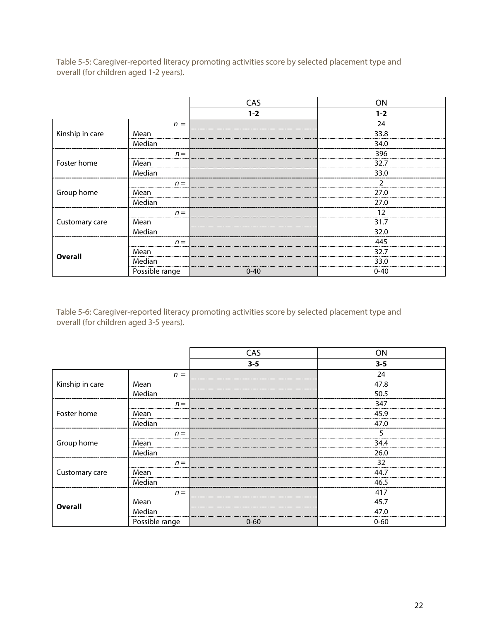Table 5-5: Caregiver-reported literacy promoting activities score by selected placement type and overall (for children aged 1-2 years).

|                 |                | CAS      | ON       |
|-----------------|----------------|----------|----------|
|                 |                | $1 - 2$  | $1 - 2$  |
|                 | $n =$          |          | 24       |
| Kinship in care | Mean           |          | 33.8     |
|                 | Median         |          | 34.0     |
| Foster home     | $n =$          |          | 396      |
|                 | Mean           |          | 32.7     |
|                 | Median         |          | 33.0     |
|                 | $n =$          |          |          |
| Group home      | Mean           |          | 27.0     |
|                 | Median         |          | 27.0     |
|                 | $n =$          |          | 12       |
| Customary care  | Mean           |          | 31.7     |
|                 | Median         |          | 32.0     |
|                 | $n =$          |          | 445      |
|                 | Mean           |          | 32.7     |
| <b>Overall</b>  | Median         |          | 33.0     |
|                 | Possible range | $0 - 40$ | $0 - 40$ |

Table 5-6: Caregiver-reported literacy promoting activities score by selected placement type and overall (for children aged 3-5 years).

|                 |                | CAS      | ON       |
|-----------------|----------------|----------|----------|
|                 |                | $3 - 5$  | $3 - 5$  |
|                 | $n =$          |          | 24       |
| Kinship in care | Mean           |          | 47.8     |
|                 | Median         |          | 50.5     |
| Foster home     | $n =$          |          | 347      |
|                 | Mean           |          | 45.9     |
|                 | Median         |          | 47.0     |
|                 | $n =$          |          |          |
| Group home      | Mean           |          | 34.4     |
|                 | Median         |          | 26.0     |
|                 | $n =$          |          | 32       |
| Customary care  | Mean           |          | 44.7     |
|                 | Median         |          | 46.5     |
|                 | $n =$          |          | 417      |
| Overall         | Mean           |          | 45.7     |
|                 | Median         |          | 47.0     |
|                 | Possible range | $0 - 60$ | $0 - 60$ |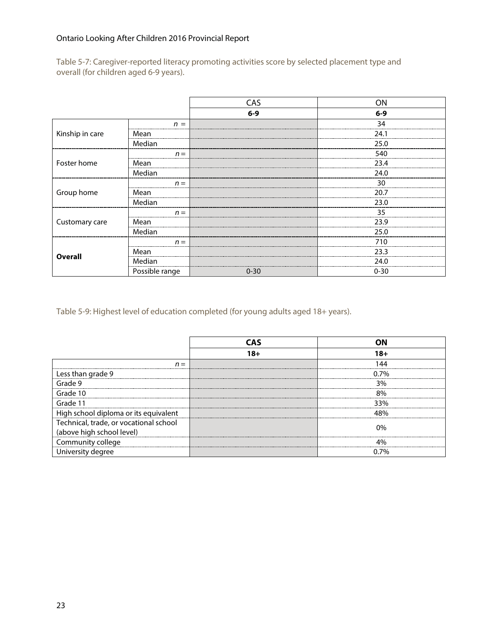Table 5-7: Caregiver-reported literacy promoting activities score by selected placement type and overall (for children aged 6-9 years).

|                 |                | CAS      | ON       |
|-----------------|----------------|----------|----------|
|                 |                | $6-9$    | $6-9$    |
|                 | $n =$          |          | 34       |
| Kinship in care | Mean           |          | 24.1     |
|                 | Median         |          | 25.0     |
|                 | $n =$          |          | 540      |
| Foster home     | Mean           |          | 23.4     |
|                 | Median         |          | 24.0     |
|                 | $n =$          |          | 30       |
| Group home      | Mean           |          | 20.7     |
|                 | Median         |          | 23.0     |
|                 | $n =$          |          | 35       |
| Customary care  | Mean           |          | 23.9     |
|                 | Median         |          | 25.0     |
|                 | $n =$          |          | 710      |
|                 | Mean           |          | 23.3     |
| <b>Overall</b>  | Median         |          | 24.0     |
|                 | Possible range | $0 - 30$ | $0 - 30$ |

Table 5-9: Highest level of education completed (for young adults aged 18+ years).

|                                        | 18+ |
|----------------------------------------|-----|
| $n =$                                  |     |
| Less than grade 9                      | 7%  |
| Grade 9                                | 3%  |
| Grade 10                               | ጸ‰  |
| Grade 11                               | 33% |
| High school diploma or its equivalent  |     |
| Technical, trade, or vocational school |     |
| (above high school level)              |     |
| Community college                      |     |
|                                        |     |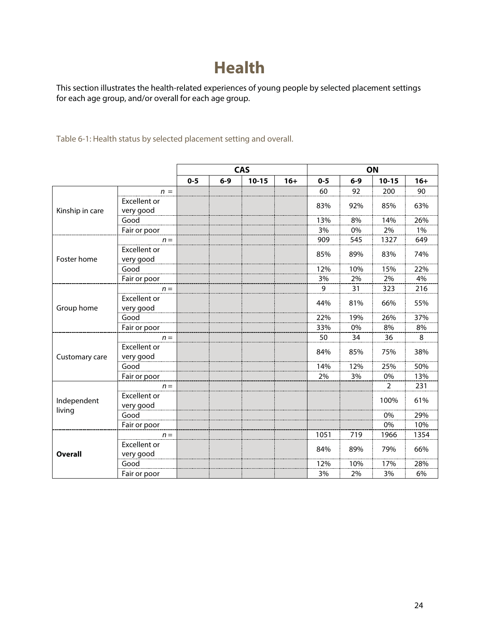# **Health**

This section illustrates the health-related experiences of young people by selected placement settings for each age group, and/or overall for each age group.

Table 6-1: Health status by selected placement setting and overall.

|                 |                                  | <b>CAS</b> |       |           |       |         |         | ON             |       |
|-----------------|----------------------------------|------------|-------|-----------|-------|---------|---------|----------------|-------|
|                 |                                  | $0 - 5$    | $6-9$ | $10 - 15$ | $16+$ | $0 - 5$ | $6 - 9$ | $10 - 15$      | $16+$ |
|                 | $n =$                            |            |       |           |       | 60      | 92      | 200            | 90    |
|                 | <b>Excellent or</b>              |            |       |           |       | 83%     | 92%     | 85%            | 63%   |
| Kinship in care | very good                        |            |       |           |       |         |         |                |       |
|                 | Good                             |            |       |           |       | 13%     | 8%      | 14%            | 26%   |
|                 | Fair or poor                     |            |       |           |       | 3%      | 0%      | 2%             | $1\%$ |
|                 | $n =$                            |            |       |           |       | 909     | 545     | 1327           | 649   |
| Foster home     | <b>Excellent or</b><br>very good |            |       |           |       | 85%     | 89%     | 83%            | 74%   |
|                 | Good                             |            |       |           |       | 12%     | 10%     | 15%            | 22%   |
|                 | Fair or poor                     |            |       |           |       | 3%      | 2%      | 2%             | 4%    |
| Group home      | $n =$                            |            |       |           |       | 9       | 31      | 323            | 216   |
|                 | <b>Excellent or</b><br>very good |            |       |           |       | 44%     | 81%     | 66%            | 55%   |
|                 | Good                             |            |       |           |       | 22%     | 19%     | 26%            | 37%   |
|                 | Fair or poor                     |            |       |           |       | 33%     | 0%      | 8%             | 8%    |
|                 | $n =$                            |            |       |           |       | 50      | 34      | 36             | 8     |
| Customary care  | <b>Excellent or</b><br>very good |            |       |           |       | 84%     | 85%     | 75%            | 38%   |
|                 | Good                             |            |       |           |       | 14%     | 12%     | 25%            | 50%   |
|                 | Fair or poor                     |            |       |           |       | 2%      | 3%      | 0%             | 13%   |
|                 | $n =$                            |            |       |           |       |         |         | $\overline{2}$ | 231   |
| Independent     | Excellent or<br>very good        |            |       |           |       |         |         | 100%           | 61%   |
| living          | Good                             |            |       |           |       |         |         | 0%             | 29%   |
|                 | Fair or poor                     |            |       |           |       |         |         | 0%             | 10%   |
|                 | $n =$                            |            |       |           |       | 1051    | 719     | 1966           | 1354  |
| <b>Overall</b>  | <b>Excellent or</b><br>very good |            |       |           |       | 84%     | 89%     | 79%            | 66%   |
|                 | Good                             |            |       |           |       | 12%     | 10%     | 17%            | 28%   |
|                 | Fair or poor                     |            |       |           |       | 3%      | 2%      | 3%             | 6%    |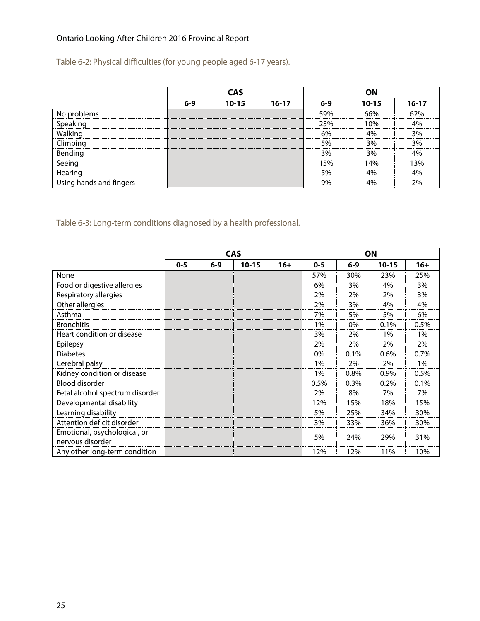Table 6-2: Physical difficulties (for young people aged 6-17 years).

|                         | CAS   |           |         |        |           |           |
|-------------------------|-------|-----------|---------|--------|-----------|-----------|
|                         | $6-9$ | $10 - 15$ | $16-17$ | $6-9$  | $10 - 15$ | $16 - 17$ |
| problems<br>Νo          |       |           |         | 59%    |           |           |
| Speaking                |       |           |         | <br>   | በ%        |           |
| Walking                 |       |           |         | 6%     |           |           |
| limbing                 |       |           |         | 5%<br> | 9%        |           |
| Bending                 |       |           |         | 3%     | 3%        |           |
|                         |       |           |         |        | 40⁄       | 30%       |
| Hearing                 |       |           |         | 5%     |           |           |
| Using hands and fingers |       |           |         | 9%     |           |           |

Table 6-3: Long-term conditions diagnosed by a health professional.

|                                                  |         |         | <b>CAS</b> |       |         |         | <b>ON</b> |       |
|--------------------------------------------------|---------|---------|------------|-------|---------|---------|-----------|-------|
|                                                  | $0 - 5$ | $6 - 9$ | $10 - 15$  | $16+$ | $0 - 5$ | $6 - 9$ | $10 - 15$ | $16+$ |
| None                                             |         |         |            |       | 57%     | 30%     | 23%       | 25%   |
| Food or digestive allergies                      |         |         |            |       | 6%      | 3%      | 4%        | 3%    |
| Respiratory allergies                            |         |         |            |       | 2%      | 2%      | 2%        | 3%    |
| Other allergies                                  |         |         |            |       | 2%      | 3%      | 4%        | 4%    |
| Asthma                                           |         |         |            |       | 7%      | 5%      | 5%        | 6%    |
| <b>Bronchitis</b>                                |         |         |            |       | 1%      | 0%      | 0.1%      | 0.5%  |
| Heart condition or disease                       |         |         |            |       | 3%      | 2%      | 1%        | 1%    |
| Epilepsy                                         |         |         |            |       | 2%      | 2%      | 2%        | 2%    |
| <b>Diabetes</b>                                  |         |         |            |       | 0%      | 0.1%    | 0.6%      | 0.7%  |
| Cerebral palsy                                   |         |         |            |       | 1%      | 2%      | 2%        | 1%    |
| Kidney condition or disease                      |         |         |            |       | 1%      | 0.8%    | 0.9%      | 0.5%  |
| <b>Blood disorder</b>                            |         |         |            |       | 0.5%    | 0.3%    | 0.2%      | 0.1%  |
| Fetal alcohol spectrum disorder                  |         |         |            |       | 2%      | 8%      | 7%        | 7%    |
| Developmental disability                         |         |         |            |       | 12%     | 15%     | 18%       | 15%   |
| Learning disability                              |         |         |            |       | 5%      | 25%     | 34%       | 30%   |
| Attention deficit disorder                       |         |         |            |       | 3%      | 33%     | 36%       | 30%   |
| Emotional, psychological, or<br>nervous disorder |         |         |            |       | 5%      | 24%     | 29%       | 31%   |
| Any other long-term condition                    |         |         |            |       | 12%     | 12%     | 11%       | 10%   |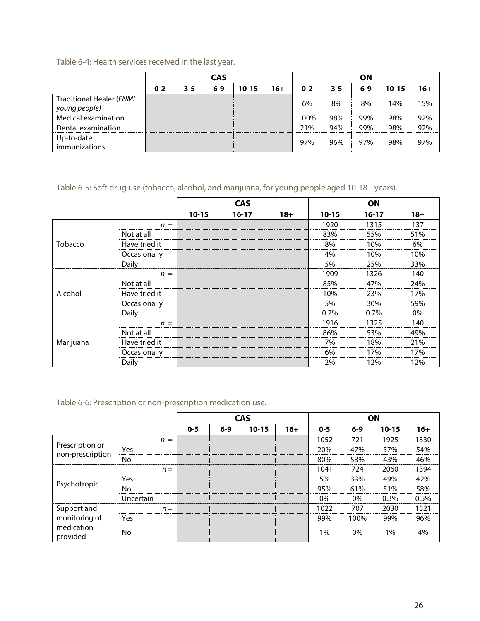Table 6-4: Health services received in the last year.

|                                                  | <b>CAS</b> |     |       |           |     | ΟN      |     |     |       |     |  |
|--------------------------------------------------|------------|-----|-------|-----------|-----|---------|-----|-----|-------|-----|--|
|                                                  | $0 - 2$    | 3-5 | $6-9$ | $10 - 15$ | 16+ | $0 - 2$ | 3-5 | 6-9 | 10-15 | 16+ |  |
| <b>Traditional Healer (FNMI</b><br>young people) |            |     |       |           |     | 6%      | 8%  | 8%  | 14%   | 15% |  |
| Medical examination                              |            |     |       |           |     | 100%    | 98% | 99% | 98%   | 92% |  |
| Dental examination                               |            |     |       |           |     | 21%     | 94% | 99% | 98%   | 92% |  |
| Up-to-date<br>immunizations                      |            |     |       |           |     | 97%     | 96% | 97% | 98%   | 97% |  |

Table 6-5: Soft drug use (tobacco, alcohol, and marijuana, for young people aged 10-18+ years).

|           |               |           | <b>CAS</b> |       |           | ON        |       |
|-----------|---------------|-----------|------------|-------|-----------|-----------|-------|
|           |               | $10 - 15$ | $16 - 17$  | $18+$ | $10 - 15$ | $16 - 17$ | $18+$ |
|           | $n =$         |           |            |       | 1920      | 1315      | 137   |
|           | Not at all    |           |            |       | 83%       | 55%       | 51%   |
| Tobacco   | Have tried it |           |            |       | 8%        | 10%       | 6%    |
|           | Occasionally  |           |            |       | 4%        | 10%       | 10%   |
|           | Daily         |           |            |       | 5%        | 25%       | 33%   |
|           | $n =$         |           |            |       | 1909      | 1326      | 140   |
|           | Not at all    |           |            |       | 85%       | 47%       | 24%   |
| Alcohol   | Have tried it |           |            |       | 10%       | 23%       | 17%   |
|           | Occasionally  |           |            |       | 5%        | 30%       | 59%   |
|           | Daily         |           |            |       | 0.2%      | 0.7%      | $0\%$ |
|           | $n =$         |           |            |       | 1916      | 1325      | 140   |
|           | Not at all    |           |            |       | 86%       | 53%       | 49%   |
| Marijuana | Have tried it |           |            |       | 7%        | 18%       | 21%   |
|           | Occasionally  |           |            |       | 6%        | 17%       | 17%   |
|           | Daily         |           |            |       | 2%        | 12%       | 12%   |

Table 6-6: Prescription or non-prescription medication use.

|                                     |           |         |         | <b>CAS</b> |       |         | <b>ON</b> |           |       |
|-------------------------------------|-----------|---------|---------|------------|-------|---------|-----------|-----------|-------|
|                                     |           | $0 - 5$ | $6 - 9$ | $10 - 15$  | $16+$ | $0 - 5$ | $6-9$     | $10 - 15$ | $16+$ |
|                                     | $n =$     |         |         |            |       | 1052    | 721       | 1925      | 1330  |
| Prescription or<br>non-prescription | Yes       |         |         |            |       | 20%     | 47%       | 57%       | 54%   |
|                                     | No        |         |         |            |       | 80%     | 53%       | 43%       | 46%   |
|                                     | $n =$     |         |         |            |       | 1041    | 724       | 2060      | 1394  |
|                                     | Yes       |         |         |            |       | 5%      | 39%       | 49%       | 42%   |
| Psychotropic                        | No        |         |         |            |       | 95%     | 61%       | 51%       | 58%   |
|                                     | Uncertain |         |         |            |       | $0\%$   | 0%        | $0.3\%$   | 0.5%  |
|                                     | $n =$     |         |         |            |       | 1022    | 707       | 2030      | 1521  |
| Support and<br>monitoring of        | Yes       |         |         |            |       | 99%     | 100%      | 99%       | 96%   |
| medication<br>provided              | No        |         |         |            |       | 1%      | 0%        | 1%        | 4%    |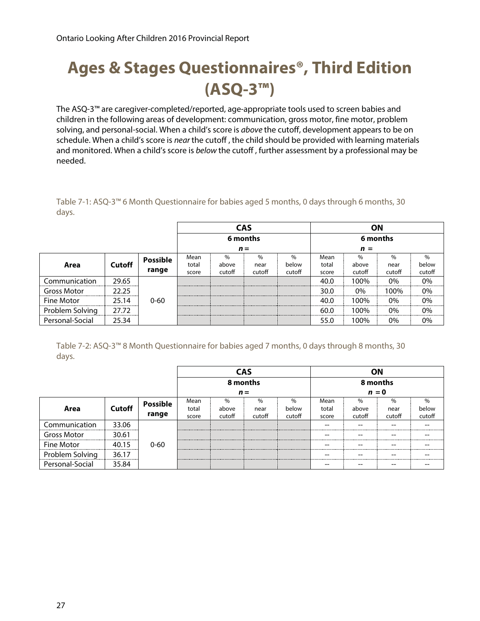# **Ages & Stages Questionnaires®, Third Edition (ASQ-3™)**

The ASQ-3™ are caregiver-completed/reported, age-appropriate tools used to screen babies and children in the following areas of development: communication, gross motor, fine motor, problem solving, and personal-social. When a child's score is above the cutoff, development appears to be on schedule. When a child's score is near the cutoff, the child should be provided with learning materials and monitored. When a child's score is below the cutoff, further assessment by a professional may be needed.

Table 7-1: ASQ-3™ 6 Month Questionnaire for babies aged 5 months, 0 days through 6 months, 30 days.

|                    |               |                 | <b>CAS</b> |          |        |               |          | ΟN     |        |        |  |
|--------------------|---------------|-----------------|------------|----------|--------|---------------|----------|--------|--------|--------|--|
|                    |               |                 |            | 6 months |        |               | 6 months |        |        |        |  |
|                    |               |                 |            | $n =$    |        |               | $n =$    |        |        |        |  |
|                    |               | <b>Possible</b> | Mean       | $\%$     | $\%$   | $\frac{0}{0}$ | Mean     | $\%$   | $\%$   | $\%$   |  |
| Area               | <b>Cutoff</b> |                 | total      | above    | near   | below         | total    | above  | near   | below  |  |
|                    |               | range           | score      | cutoff   | cutoff | cutoff        | score    | cutoff | cutoff | cutoff |  |
| Communication      | 29.65         |                 |            |          |        |               | 40.0     | 100%   | $0\%$  | 0%     |  |
| <b>Gross Motor</b> | 22.25         |                 |            |          |        |               | 30.0     | 0%     | 100%   | $0\%$  |  |
| Fine Motor         | 25 14         | $0 - 60$        |            |          |        |               | 40.0     | 100%   | 0%     | $0\%$  |  |
| Problem Solving    | 27.72         |                 |            |          |        |               | 60.0     | 100%   | $0\%$  | $0\%$  |  |
| Personal-Social    | 25.34         |                 |            |          |        |               | 55.0     | 100%   | 0%     | 0%     |  |

Table 7-2: ASQ-3™ 8 Month Questionnaire for babies aged 7 months, 0 days through 8 months, 30 days.

|                    |                                    |                 |                           | <b>CAS</b> |          |               | ΟN       |        |               |        |  |
|--------------------|------------------------------------|-----------------|---------------------------|------------|----------|---------------|----------|--------|---------------|--------|--|
|                    |                                    |                 |                           |            | 8 months |               | 8 months |        |               |        |  |
|                    |                                    |                 |                           |            | $n =$    |               | $n = 0$  |        |               |        |  |
|                    |                                    | <b>Possible</b> | Mean                      | $\%$       | $\%$     | $\frac{0}{0}$ | Mean     | $\%$   | $\frac{0}{0}$ | $\%$   |  |
| Area               | <b>Cutoff</b>                      |                 | total                     | above      | near     | below         | total    | above  | near          | below  |  |
|                    |                                    | range           | score                     | cutoff     | cutoff   | cutoff        | score    | cutoff | cutoff        | cutoff |  |
| Communication      | 33.06                              |                 |                           |            |          |               |          | --     |               | --     |  |
| <b>Gross Motor</b> | 30.61<br>------------------------- |                 |                           |            |          |               |          | --     |               | --     |  |
| Fine Motor         | 40 15                              | $0 - 60$        | ------------------------- |            |          |               |          | --     |               | --     |  |
| Problem Solving    | 36.17<br>                          |                 |                           |            |          |               |          | --     |               | --     |  |
| Personal-Social    | 35.84                              |                 |                           |            |          |               |          | --     | --            | $- -$  |  |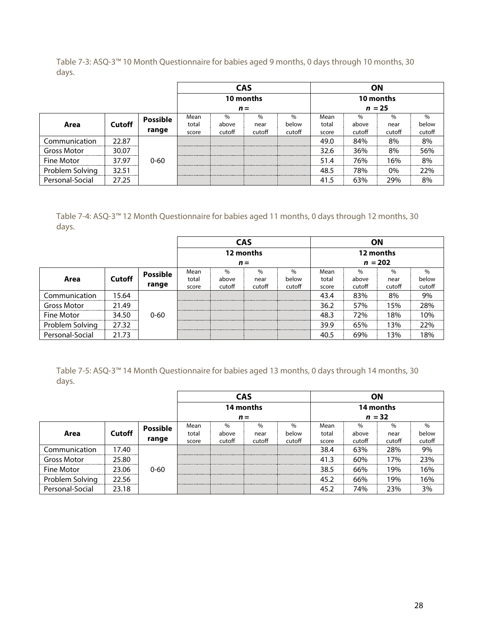Table 7-3: ASQ-3™ 10 Month Questionnaire for babies aged 9 months, 0 days through 10 months, 30 days.

|                    |               |                 |                          |        | <b>CAS</b> |        |       |          | ΟN            |        |
|--------------------|---------------|-----------------|--------------------------|--------|------------|--------|-------|----------|---------------|--------|
|                    |               |                 |                          |        | 10 months  |        |       |          | 10 months     |        |
|                    |               |                 |                          |        | $n =$      |        |       | $n = 25$ |               |        |
|                    |               | <b>Possible</b> | Mean                     | $\%$   | $\%$       | $\%$   | Mean  | %        | $\frac{0}{0}$ | $\%$   |
| Area               | <b>Cutoff</b> |                 | total                    | above  | near       | below  | total | above    | near          | below  |
|                    |               | range           | score                    | cutoff | cutoff     | cutoff | score | cutoff   | cutoff        | cutoff |
| Communication      | 22.87         |                 |                          |        |            |        | 49.0  | 84%      | 8%            | 8%     |
| <b>Gross Motor</b> | 30.07         |                 |                          |        |            |        | 32.6  | 36%      | 8%            | 56%    |
| Fine Motor         | 37.97         | $0 - 60$        | ------------------------ |        |            |        | 51.4  | 76%      | 16%           | 8%     |
| Problem Solving    | 32.51         |                 |                          |        |            |        | 48.5  | 78%      | 0%            | 22%    |
| Personal-Social    | 27.25         |                 |                          |        |            |        | 41.5  | 63%      | 29%           | 8%     |

Table 7-4: ASQ-3™ 12 Month Questionnaire for babies aged 11 months, 0 days through 12 months, 30 days.

|                 |               |                 | <b>CAS</b> |        |               |        |       |               | ΟN        |        |
|-----------------|---------------|-----------------|------------|--------|---------------|--------|-------|---------------|-----------|--------|
|                 |               |                 |            |        | 12 months     |        |       |               | 12 months |        |
|                 |               |                 |            |        | $n =$         |        |       | $n = 202$     |           |        |
|                 |               | <b>Possible</b> | Mean       |        | $\frac{0}{0}$ | $\%$   | Mean  | $\frac{0}{0}$ | $\%$      | $\%$   |
| Area            | <b>Cutoff</b> |                 | total      | above  | near          | below  | total | above         | near      | below  |
|                 |               | range           | score      | cutoff | cutoff        | cutoff | score | cutoff        | cutoff    | cutoff |
| Communication   | 15.64         |                 |            |        |               |        | 43.4  | 83%           | 8%        | 9%     |
| Gross Motor     | 21.49         |                 |            |        |               |        | 36.2  | 57%           | 15%       | 28%    |
| Fine Motor      | 34.50         | $0 - 60$        |            |        |               |        | 48.3  | 72%           | 18%       | 10%    |
| Problem Solving | 27.32         |                 |            |        |               |        | 39.9  | 65%           | 13%       | 22%    |
| Personal-Social | 21.73         |                 |            |        |               |        | 40.5  | 69%           | 13%       | 18%    |

Table 7-5: ASQ-3™ 14 Month Questionnaire for babies aged 13 months, 0 days through 14 months, 30 days.

|                    |               |                 |       | <b>CAS</b> |           |        | <b>ON</b> |        |        |        |  |
|--------------------|---------------|-----------------|-------|------------|-----------|--------|-----------|--------|--------|--------|--|
|                    |               |                 |       |            | 14 months |        | 14 months |        |        |        |  |
|                    |               |                 |       |            | $n =$     |        | $n = 32$  |        |        |        |  |
|                    |               | <b>Possible</b> | Mean  | $\%$       | $\%$      | $\%$   | Mean      | $\%$   | %      | $\%$   |  |
| Area               | <b>Cutoff</b> |                 | total | above      | near      | below  | total     | above  | near   | below  |  |
|                    |               | range           | score | cutoff     | cutoff    | cutoff | score     | cutoff | cutoff | cutoff |  |
| Communication      | 17.40         |                 |       |            |           |        | 38.4      | 63%    | 28%    | 9%     |  |
| <b>Gross Motor</b> | 25.80         |                 |       |            |           |        | 41.3      | 60%    | 17%    | 23%    |  |
| Fine Motor         | 23.06         | $0 - 60$        |       |            |           |        | 38.5      | 66%    | 9%۱    | 16%    |  |
| Problem Solving    | 22.56         |                 |       |            |           |        | 45.2      | 66%    | 19%    | 16%    |  |
| Personal-Social    | 23.18         |                 |       |            |           |        | 45.2      | 74%    | 23%    | 3%     |  |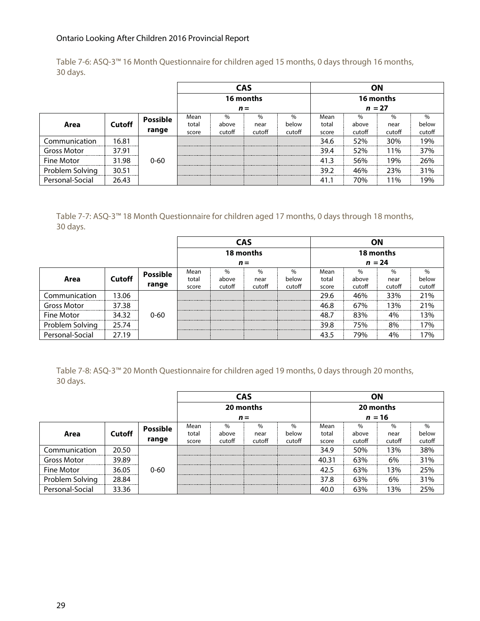Table 7-6: ASQ-3™ 16 Month Questionnaire for children aged 15 months, 0 days through 16 months, 30 days.

|                    |               |                 | <b>CAS</b> |        |           |        | ΟN        |               |        |        |
|--------------------|---------------|-----------------|------------|--------|-----------|--------|-----------|---------------|--------|--------|
|                    |               |                 |            |        | 16 months |        | 16 months |               |        |        |
|                    |               |                 |            |        | $n =$     |        |           | $n = 27$      |        |        |
|                    |               | <b>Possible</b> | Mean       | $\%$   |           | $\%$   | Mean      | $\frac{0}{0}$ | $\%$   | $\%$   |
| Area               | <b>Cutoff</b> |                 | total      | above  | near      | below  | total     | above         | near   | below  |
|                    |               | range           | score      | cutoff | cutoff    | cutoff | score     | cutoff        | cutoff | cutoff |
| Communication      | 16.81         |                 |            |        |           |        | 34.6      | 52%           | 30%    | 19%    |
| <b>Gross Motor</b> | 37.91         |                 |            |        |           |        | 39.4      | 52%           | 11%    | 37%    |
| Fine Motor         | 31.98         | $0 - 60$        |            |        |           |        | 41.3      | 56%           | 19%    | 26%    |
| Problem Solving    | 30.51         |                 |            |        |           |        | 39.2      | 46%           | 23%    | 31%    |
| Personal-Social    | 26.43         |                 |            |        |           |        | 41.1      | 70%           | $1\%$  | 19%    |

Table 7-7: ASQ-3™ 18 Month Questionnaire for children aged 17 months, 0 days through 18 months, 30 days.

|                    |               |                 | <b>CAS</b> |        |           |        |          |        | ΟN        |        |  |
|--------------------|---------------|-----------------|------------|--------|-----------|--------|----------|--------|-----------|--------|--|
|                    |               |                 |            |        | 18 months |        |          |        | 18 months |        |  |
|                    |               |                 |            |        | $n =$     |        | $n = 24$ |        |           |        |  |
|                    |               | <b>Possible</b> | Mean       | $\%$   | $\%$      | $\%$   | Mean     | $\%$   |           | $\%$   |  |
| Area               | <b>Cutoff</b> |                 | total      | above  | near      | below  | total    | above  | near      | below  |  |
|                    |               | range           | score      | cutoff | cutoff    | cutoff | score    | cutoff | cutoff    | cutoff |  |
| Communication      | 13.06         |                 |            |        |           |        | 29.6     | 46%    | 33%       | 21%    |  |
| <b>Gross Motor</b> | 37.38         |                 |            |        |           |        | 46.8     | 67%    | 13%       | 21%    |  |
| Fine Motor         | 34.32         | $0 - 60$        |            |        |           |        | 48.7     | 83%    | 4%        | 13%    |  |
| Problem Solving    | 25.74         |                 |            |        |           |        | 39.8     | 75%    | 8%        | 17%    |  |
| Personal-Social    | 27.19         |                 |            |        |           |        | 43.5     | 79%    | 4%        | 17%    |  |

Table 7-8: ASQ-3™ 20 Month Questionnaire for children aged 19 months, 0 days through 20 months, 30 days.

|                   |               |                 |       |        | <b>CAS</b> |        | ΟN        |        |               |        |  |
|-------------------|---------------|-----------------|-------|--------|------------|--------|-----------|--------|---------------|--------|--|
|                   |               |                 |       |        | 20 months  |        | 20 months |        |               |        |  |
|                   |               |                 |       |        | $n =$      |        | $n = 16$  |        |               |        |  |
|                   |               | <b>Possible</b> | Mean  | $\%$   | $\%$       | $\%$   | Mean      | $\%$   | $\frac{0}{0}$ | $\%$   |  |
| Area              | <b>Cutoff</b> |                 | total | above  | near       | below  | total     | above  | near          | below  |  |
|                   |               | range           | score | cutoff | cutoff     | cutoff | score     | cutoff | cutoff        | cutoff |  |
| Communication     | 20.50         |                 |       |        |            |        | 34.9      | 50%    | 13%           | 38%    |  |
| Gross Motor       | 39.89         |                 |       |        |            |        | 40.31     | 63%    | 6%            | 31%    |  |
| <b>Fine Motor</b> | 36.05         | $0 - 60$        |       |        |            |        | 42.5      | 63%    | 13%           | 25%    |  |
| Problem Solving   | 28.84         |                 |       |        |            |        | 37.8      | 63%    | 6%            | 31%    |  |
| Personal-Social   | 33.36         |                 |       |        |            |        | 40.0      | 63%    | 3%            | 25%    |  |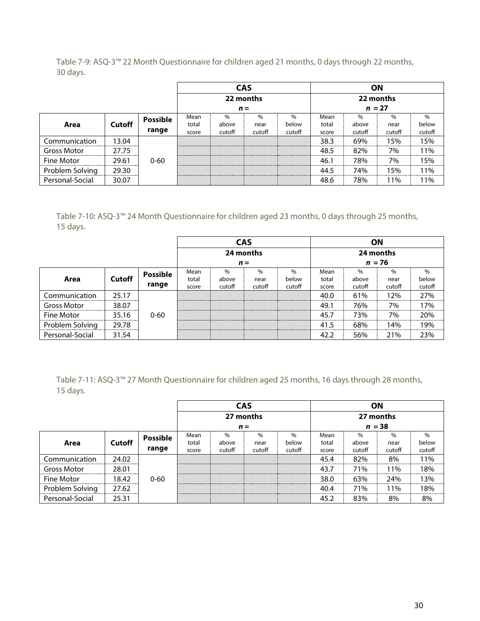Table 7-9: ASQ-3™ 22 Month Questionnaire for children aged 21 months, 0 days through 22 months, 30 days.

|                    |               |                 | <b>CAS</b> |        |           |        |           | <b>ON</b> |        |        |  |
|--------------------|---------------|-----------------|------------|--------|-----------|--------|-----------|-----------|--------|--------|--|
|                    |               |                 |            |        | 22 months |        | 22 months |           |        |        |  |
|                    |               |                 |            |        | $n =$     |        | $n = 27$  |           |        |        |  |
|                    |               | <b>Possible</b> | Mean       | $\%$   | $\%$      | $\%$   | Mean      | $\%$      | $\%$   | $\%$   |  |
| Area               | <b>Cutoff</b> |                 | total      | above  | near      | below  | total     | above     | near   | below  |  |
|                    |               | range           | score      | cutoff | cutoff    | cutoff | score     | cutoff    | cutoff | cutoff |  |
| Communication      | 13.04         |                 |            |        |           |        | 38.3      | 69%       | 15%    | 15%    |  |
| <b>Gross Motor</b> | 27.75         |                 |            |        |           |        | 48.5      | 82%       | 7%     | 11%    |  |
| Fine Motor         | 29.61         | $0 - 60$        |            |        |           |        | 46.1      | 78%       | 7%     | 15%    |  |
| Problem Solving    | 29.30         |                 |            |        |           |        | 44.5      | 74%       | 5% ا   | 11%    |  |
| Personal-Social    | 30.07         |                 |            |        |           |        | 48.6      | 78%       | $1\%$  | 1% ا   |  |

Table 7-10: ASQ-3™ 24 Month Questionnaire for children aged 23 months, 0 days through 25 months, 15 days.

|                 |               |                 |       |        | <b>CAS</b> |        | ON    |           |        |        |
|-----------------|---------------|-----------------|-------|--------|------------|--------|-------|-----------|--------|--------|
|                 |               |                 |       |        | 24 months  |        |       | 24 months |        |        |
|                 |               |                 |       |        | $n =$      |        |       | $n = 76$  |        |        |
|                 |               | <b>Possible</b> | Mean  | $\%$   |            | $\%$   | Mean  | $\%$      | $\%$   | $\%$   |
| Area            | <b>Cutoff</b> |                 | total | above  | near       | below  | total | above     | near   | below  |
|                 |               | range           | score | cutoff | cutoff     | cutoff | score | cutoff    | cutoff | cutoff |
| Communication   | 25.17         |                 |       |        |            |        | 40.0  | 61%       | 12%    | 27%    |
| Gross Motor     | 38.07         |                 |       |        |            |        | 49.1  | 76%       | 7%     | 17%    |
| Fine Motor      | 35.16         | $0 - 60$        |       |        |            |        | 45.7  | 73%       | 7%     | 20%    |
| Problem Solving | 29.78         |                 |       |        |            |        | 41.5  | 68%       | 14%    | 19%    |
| Personal-Social | 31.54         |                 |       |        |            |        | 42.2  | 56%       | 21%    | 23%    |

Table 7-11: ASQ-3™ 27 Month Questionnaire for children aged 25 months, 16 days through 28 months, 15 days.

|                 |               |                 |       |        | <b>CAS</b> |        |       | ΟN        |               |        |
|-----------------|---------------|-----------------|-------|--------|------------|--------|-------|-----------|---------------|--------|
|                 |               |                 |       |        | 27 months  |        |       | 27 months |               |        |
|                 |               |                 |       |        | $n =$      |        |       | $n = 38$  |               |        |
|                 |               | <b>Possible</b> | Mean  | $\%$   | $\%$       | $\%$   | Mean  |           | $\frac{0}{0}$ | $\%$   |
| Area            | <b>Cutoff</b> |                 | total | above  | near       | below  | total | above     | near          | below  |
|                 |               | range           | score | cutoff | cutoff     | cutoff | score | cutoff    | cutoff        | cutoff |
| Communication   | 24.02         |                 |       |        |            |        | 45.4  | 82%       | 8%            | 11%    |
| Gross Motor     | 28.01         |                 |       |        |            |        | 43.7  | 71%       | 11%           | 18%    |
| Fine Motor      | 18.42         | 0-60            |       |        |            |        | 38.0  | 63%       | 24%           | l 3%   |
| Problem Solving | 27.62         |                 |       |        |            |        | 40.4  | 71%       | 11%           | 18%    |
| Personal-Social | 25.31         |                 |       |        |            |        | 45.2  | 83%       | 8%            | 8%     |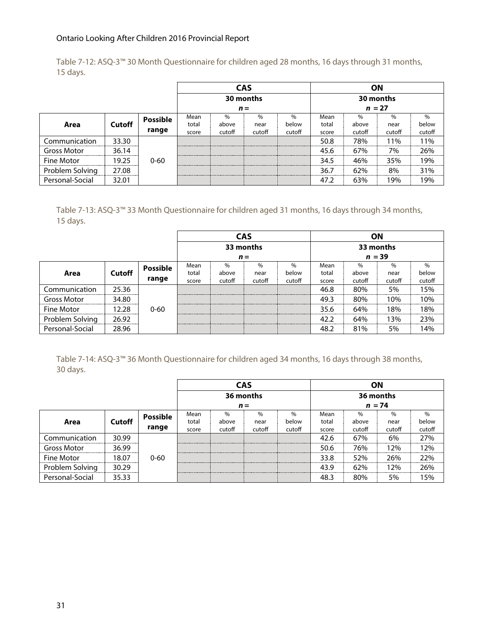Table 7-12: ASQ-3™ 30 Month Questionnaire for children aged 28 months, 16 days through 31 months, 15 days.

|                    |               |                 |                          |               | <b>CAS</b> |        |          |        | <b>ON</b> |        |
|--------------------|---------------|-----------------|--------------------------|---------------|------------|--------|----------|--------|-----------|--------|
|                    |               |                 |                          |               | 30 months  |        |          |        | 30 months |        |
|                    |               |                 |                          |               | $n =$      |        | $n = 27$ |        |           |        |
|                    |               | <b>Possible</b> | Mean                     | $\frac{0}{0}$ |            |        | Mean     |        | $\%$      | $\%$   |
| Area               | <b>Cutoff</b> |                 | total                    | above         | near       | below  | total    | above  | near      | below  |
|                    |               | range           | score                    | cutoff        | cutoff     | cutoff | score    | cutoff | cutoff    | cutoff |
| Communication      | 33.30         |                 |                          |               |            |        | 50.8     | 78%    | 11%       | 11%    |
| <b>Gross Motor</b> | 36.14         |                 |                          |               |            |        | 45.6     | 67%    | 7%        | 26%    |
| Fine Motor         | 19.25         | $0 - 60$        | ------------------------ |               |            |        | 34.5     | 46%    | 35%       | 19%    |
| Problem Solving    | 27.08         |                 |                          |               |            |        | 36.7     | 62%    | 8%        | 31%    |
| Personal-Social    | 32.01         |                 |                          |               |            |        | 47.2     | 63%    | 19%       | 19%    |

Table 7-13: ASQ-3™ 33 Month Questionnaire for children aged 31 months, 16 days through 34 months, 15 days.

|                    |               |                 |       |        | <b>CAS</b> |        | ΟN        |               |        |        |
|--------------------|---------------|-----------------|-------|--------|------------|--------|-----------|---------------|--------|--------|
|                    |               |                 |       |        | 33 months  |        | 33 months |               |        |        |
|                    |               |                 |       |        | $n =$      |        | $n = 39$  |               |        |        |
|                    |               | <b>Possible</b> | Mean  | $\%$   | $\%$       | $\%$   | Mean      | $\frac{0}{0}$ | $\%$   | $\%$   |
| Area               | <b>Cutoff</b> |                 | total | above  | near       | below  | total     | above         | near   | below  |
|                    |               | range           | score | cutoff | cutoff     | cutoff | score     | cutoff        | cutoff | cutoff |
| Communication      | 25.36         |                 |       |        |            |        | 46.8      | 80%           | 5%     | 15%    |
| <b>Gross Motor</b> | 34.80         |                 |       |        |            |        | 49.3      | 80%           | 10%    | 10%    |
| Fine Motor         | 12.28.        | $0 - 60$        |       |        |            |        | 35.6      | 64%           | 18%    | 18%    |
| Problem Solving    | 26.92         |                 |       |        |            |        | 42.2      | 64%           | 13%    | 23%    |
| Personal-Social    | 28.96         |                 |       |        |            |        | 48.2      | 81%           | 5%     | 14%    |

Table 7-14: ASQ-3™ 36 Month Questionnaire for children aged 34 months, 16 days through 38 months, 30 days.

|                    |               |                 |       | <b>CAS</b> |           |               |           | ΟN     |        |        |  |
|--------------------|---------------|-----------------|-------|------------|-----------|---------------|-----------|--------|--------|--------|--|
|                    |               |                 |       |            | 36 months |               | 36 months |        |        |        |  |
|                    |               |                 |       |            | $n =$     |               | $n = 74$  |        |        |        |  |
|                    |               | <b>Possible</b> | Mean  | $\%$       | $\%$      | $\frac{0}{0}$ | Mean      | $\%$   | $\%$   | $\%$   |  |
| Area               | <b>Cutoff</b> |                 | total | above      | near      | below         | total     | above  | near   | below  |  |
|                    |               | range           | score | cutoff     | cutoff    | cutoff        | score     | cutoff | cutoff | cutoff |  |
| Communication      | 30.99         |                 |       |            |           |               | 42.6      | 67%    | 6%     | 27%    |  |
| <b>Gross Motor</b> | 36.99         |                 |       |            |           |               | 50.6      | 76%    | 12%    | 12%    |  |
| Fine Motor         | 18.07         | $0 - 60$        |       |            |           |               | 33.8      | 52%    | 26%    | 22%    |  |
| Problem Solving    | 30.29         |                 |       |            |           |               | 43.9      | 62%    | 12%    | 26%    |  |
| Personal-Social    | 35.33         |                 |       |            |           |               | 48.3      | 80%    | 5%     | 15%    |  |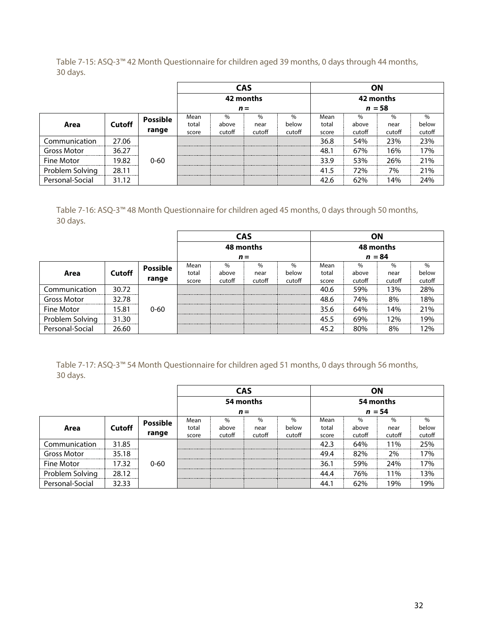Table 7-15: ASQ-3™ 42 Month Questionnaire for children aged 39 months, 0 days through 44 months, 30 days.

|                    |               |                 |       |        | <b>CAS</b> |        |           |        | ΟN     |        |  |
|--------------------|---------------|-----------------|-------|--------|------------|--------|-----------|--------|--------|--------|--|
|                    |               |                 |       |        | 42 months  |        | 42 months |        |        |        |  |
|                    |               |                 |       |        | $n =$      |        | $n = 58$  |        |        |        |  |
|                    |               | <b>Possible</b> | Mean  | $\%$   | $\%$       | $\%$   | Mean      | $\%$   | $\%$   | $\%$   |  |
| Area               | <b>Cutoff</b> |                 | total | above  | near       | below  | total     | above  | near   | below  |  |
|                    |               | range           | score | cutoff | cutoff     | cutoff | score     | cutoff | cutoff | cutoff |  |
| Communication      | 27.06         |                 |       |        |            |        | 36.8      | 54%    | 23%    | 23%    |  |
| <b>Gross Motor</b> | 36.27         |                 |       |        |            |        | 48.       | 67%    | 16%    | 17%    |  |
| Fine Motor         | 19.82         | $0 - 60$        |       |        |            |        | 33.9      | 53%    | 26%    | 21%    |  |
| Problem Solving    | 28.11         |                 |       |        |            |        | 41.5      | 72%    | 7%     | 21%    |  |
| Personal-Social    | 31.12         |                 |       |        |            |        | 42.6      | 62%    | 14%    | 24%    |  |

Table 7-16: ASQ-3™ 48 Month Questionnaire for children aged 45 months, 0 days through 50 months, 30 days.

|                    |               |                 |                          |        | <b>CAS</b> |        |           | <b>ON</b> |        |        |
|--------------------|---------------|-----------------|--------------------------|--------|------------|--------|-----------|-----------|--------|--------|
|                    |               |                 |                          |        | 48 months  |        | 48 months |           |        |        |
|                    |               |                 |                          |        | $n =$      |        | $n = 84$  |           |        |        |
|                    |               | <b>Possible</b> | Mean                     | $\%$   |            | $\%$   | Mean      | $\%$      | $\%$   | $\%$   |
| Area               | <b>Cutoff</b> |                 | total                    | above  | near       | below  | total     | above     | near   | below  |
|                    |               | range           | score                    | cutoff | cutoff     | cutoff | score     | cutoff    | cutoff | cutoff |
| Communication      | 30.72         |                 |                          |        |            |        | 40.6      | 59%       | 13%    | 28%    |
| <b>Gross Motor</b> | 32.78         |                 | ------------------------ |        |            |        | 48.6      | 74%       | 8%     | 18%    |
| Fine Motor         | 15.81         | $0 - 60$        |                          |        |            |        | 35.6      | 64%       | 14%    | 21%    |
| Problem Solving    | 31.30         |                 |                          |        |            |        | 45.5      | 69%       | 12%    | 19%    |
| Personal-Social    | 26.60         |                 |                          |        |            |        | 45.2      | 80%       | 8%     | 12%    |

Table 7-17: ASQ-3™ 54 Month Questionnaire for children aged 51 months, 0 days through 56 months, 30 days.

|                    |               |                 |                               |        | <b>CAS</b>                      |        |          | ΟN        |        |        |  |
|--------------------|---------------|-----------------|-------------------------------|--------|---------------------------------|--------|----------|-----------|--------|--------|--|
|                    |               |                 |                               |        | 54 months                       |        |          | 54 months |        |        |  |
|                    |               |                 |                               |        | $n =$                           |        | $n = 54$ |           |        |        |  |
|                    |               | <b>Possible</b> | Mean                          | $\%$   | $\%$                            | $\%$   | Mean     | $\%$      | $\%$   | $\%$   |  |
| Area               | <b>Cutoff</b> |                 | total                         | above  | near                            | below  | total    | above     | near   | below  |  |
|                    |               | range           | score                         | cutoff | cutoff                          | cutoff | score    | cutoff    | cutoff | cutoff |  |
| Communication      | 31.85         |                 |                               |        |                                 |        | 42.3     | 64%       | 11%    | 25%    |  |
| <b>Gross Motor</b> | 35.18         |                 |                               |        | ------------------------------- |        | 49.4     | 82%       | 2%     | 17%    |  |
| Fine Motor         | 17.32         | $0 - 60$        |                               |        |                                 |        | 36.1     | 59%       | 24%    | 17%    |  |
| Problem Solving    | 28.12<br>     |                 | ,,,,,,,,,,,,,,,,,,,,,,,,,<br> |        |                                 |        | 44.4     | 76%       | 11%    | 13%    |  |
| Personal-Social    | 32.33         |                 |                               |        |                                 |        | 44. .    | 62%       | 19%    | 19%    |  |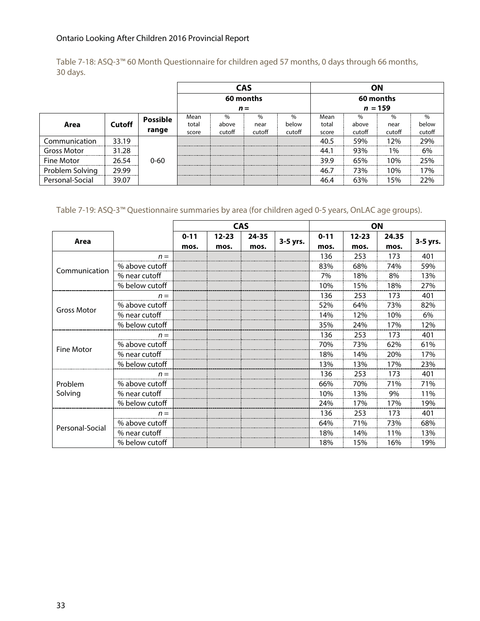Table 7-18: ASQ-3™ 60 Month Questionnaire for children aged 57 months, 0 days through 66 months, 30 days.

|                    |               |                 |       |       | <b>CAS</b> |        |           |        | <b>ON</b> |        |
|--------------------|---------------|-----------------|-------|-------|------------|--------|-----------|--------|-----------|--------|
|                    |               |                 |       |       | 60 months  |        |           |        | 60 months |        |
|                    |               |                 |       |       | $n =$      |        | $n = 159$ |        |           |        |
|                    |               | <b>Possible</b> | Mean  | $\%$  | $\%$       | $\%$   | Mean      | $\%$   | %         | $\%$   |
| Area               | <b>Cutoff</b> |                 | total | above | near       | below  | total     | above  | near      | below  |
|                    | range         |                 |       |       | cutoff     | cutoff | score     | cutoff | cutoff    | cutoff |
| Communication      | 33.19         |                 |       |       |            |        | 40.5      | 59%    | 12%       | 29%    |
| <b>Gross Motor</b> | 31.28         |                 |       |       |            |        | 44.1      | 93%    | 1%        | 6%     |
| Fine Motor         | 26.54         | $0 - 60$        |       |       |            |        | 39.9      | 65%    | 10%       | 25%    |
| Problem Solving    | 29.99         |                 |       |       |            |        | 46.7      | 73%    | 10%       | 17%    |
| Personal-Social    | 39.07         |                 |       |       |            |        | 46.4      | 63%    | 15%       | 22%    |

Table 7-19: ASQ-3™ Questionnaire summaries by area (for children aged 0-5 years, OnLAC age groups).

|                    |                |          |           | <b>CAS</b> |          |          | ON        |       |          |
|--------------------|----------------|----------|-----------|------------|----------|----------|-----------|-------|----------|
| Area               |                | $0 - 11$ | $12 - 23$ | 24-35      | 3-5 yrs. | $0 - 11$ | $12 - 23$ | 24.35 | 3-5 yrs. |
|                    |                | mos.     | mos.      | mos.       |          | mos.     | mos.      | mos.  |          |
|                    | $n =$          |          |           |            |          | 136      | 253       | 173   | 401      |
| Communication      | % above cutoff |          |           |            |          | 83%      | 68%       | 74%   | 59%      |
|                    | % near cutoff  |          |           |            |          | 7%       | 18%       | 8%    | 13%      |
|                    | % below cutoff |          |           |            |          | 10%      | 15%       | 18%   | 27%      |
|                    | $n =$          |          |           |            |          | 136      | 253       | 173   | 401      |
| <b>Gross Motor</b> | % above cutoff |          |           |            |          | 52%      | 64%       | 73%   | 82%      |
|                    | % near cutoff  |          |           |            |          | 14%      | 12%       | 10%   | 6%       |
|                    | % below cutoff |          |           |            |          | 35%      | 24%       | 17%   | 12%      |
|                    | $n =$          |          |           |            |          | 136      | 253       | 173   | 401      |
| <b>Fine Motor</b>  | % above cutoff |          |           |            |          | 70%      | 73%       | 62%   | 61%      |
|                    | % near cutoff  |          |           |            |          | 18%      | 14%       | 20%   | 17%      |
|                    | % below cutoff |          |           |            |          | 13%      | 13%       | 17%   | 23%      |
|                    | $n =$          |          |           |            |          | 136      | 253       | 173   | 401      |
| Problem            | % above cutoff |          |           |            |          | 66%      | 70%       | 71%   | 71%      |
| Solving            | % near cutoff  |          |           |            |          | 10%      | 13%       | 9%    | 11%      |
|                    | % below cutoff |          |           |            |          | 24%      | 17%       | 17%   | 19%      |
|                    | $n =$          |          |           |            |          | 136      | 253       | 173   | 401      |
| Personal-Social    | % above cutoff |          |           |            |          | 64%      | 71%       | 73%   | 68%      |
|                    | % near cutoff  |          |           |            |          | 18%      | 14%       | 11%   | 13%      |
|                    | % below cutoff |          |           |            |          | 18%      | 15%       | 16%   | 19%      |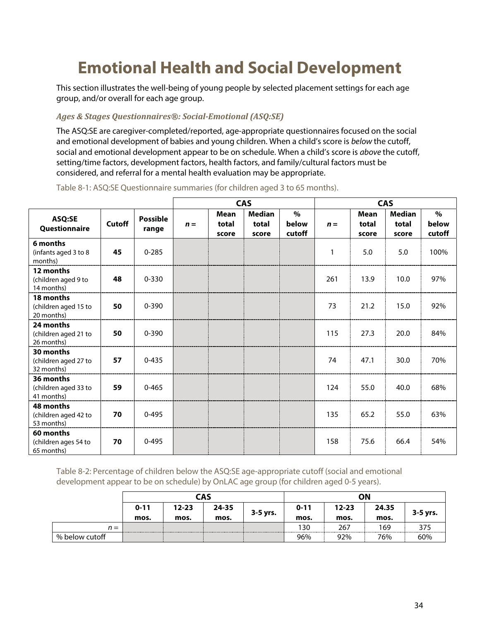# **Emotional Health and Social Development**

This section illustrates the well-being of young people by selected placement settings for each age group, and/or overall for each age group.

#### *Ages & Stages Questionnaires®: Social-Emotional (ASQ:SE)*

The ASQ:SE are caregiver-completed/reported, age-appropriate questionnaires focused on the social and emotional development of babies and young children. When a child's score is below the cutoff, social and emotional development appear to be on schedule. When a child's score is above the cutoff, setting/time factors, development factors, health factors, and family/cultural factors must be considered, and referral for a mental health evaluation may be appropriate.

|                                                 |               |                          | <b>CAS</b> |                               |                                 |                         | <b>CAS</b> |                               |                                 |                         |
|-------------------------------------------------|---------------|--------------------------|------------|-------------------------------|---------------------------------|-------------------------|------------|-------------------------------|---------------------------------|-------------------------|
| ASQ:SE<br>Questionnaire                         | <b>Cutoff</b> | <b>Possible</b><br>range | $n =$      | <b>Mean</b><br>total<br>score | <b>Median</b><br>total<br>score | $\%$<br>below<br>cutoff | $n =$      | <b>Mean</b><br>total<br>score | <b>Median</b><br>total<br>score | $\%$<br>below<br>cutoff |
| 6 months<br>(infants aged 3 to 8<br>months)     | 45            | $0 - 285$                |            |                               |                                 |                         | 1          | 5.0                           | 5.0                             | 100%                    |
| 12 months<br>(children aged 9 to<br>14 months)  | 48            | $0 - 330$                |            |                               |                                 |                         | 261        | 13.9                          | 10.0                            | 97%                     |
| 18 months<br>(children aged 15 to<br>20 months) | 50            | $0 - 390$                |            |                               |                                 |                         | 73         | 21.2                          | 15.0                            | 92%                     |
| 24 months<br>(children aged 21 to<br>26 months) | 50            | $0 - 390$                |            |                               |                                 |                         | 115        | 27.3                          | 20.0                            | 84%                     |
| 30 months<br>(children aged 27 to<br>32 months) | 57            | $0 - 435$                |            |                               |                                 |                         | 74         | 47.1                          | 30.0                            | 70%                     |
| 36 months<br>(children aged 33 to<br>41 months) | 59            | $0 - 465$                |            |                               |                                 |                         | 124        | 55.0                          | 40.0                            | 68%                     |
| 48 months<br>(children aged 42 to<br>53 months) | 70            | $0 - 495$                |            |                               |                                 |                         | 135        | 65.2                          | 55.0                            | 63%                     |
| 60 months<br>(children ages 54 to<br>65 months) | 70            | $0 - 495$                |            |                               |                                 |                         | 158        | 75.6                          | 66.4                            | 54%                     |

Table 8-1: ASQ:SE Questionnaire summaries (for children aged 3 to 65 months).

Table 8-2: Percentage of children below the ASQ:SE age-appropriate cutoff (social and emotional development appear to be on schedule) by OnLAC age group (for children aged 0-5 years).

|                |          |           | CAS       |          | ΟN       |           |       |          |  |
|----------------|----------|-----------|-----------|----------|----------|-----------|-------|----------|--|
|                | $0 - 11$ | $12 - 23$ | $24 - 35$ |          | $0 - 11$ | $12 - 23$ | 24.35 |          |  |
|                | mos.     | mos.      | mos.      | 3-5 yrs. | mos.     | mos.      | mos.  | 3-5 yrs. |  |
| $n =$          |          |           |           |          | 130      | 267       | 169   |          |  |
| % below cutoff |          |           |           |          | 96%      | 92%       | 76%   | 60%      |  |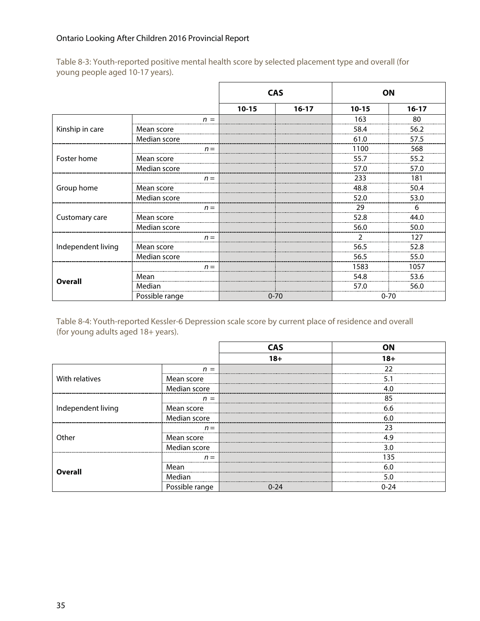|                    |                                                                                |           | <b>CAS</b> | ON        |           |
|--------------------|--------------------------------------------------------------------------------|-----------|------------|-----------|-----------|
|                    |                                                                                | $10 - 15$ | $16-17$    | $10 - 15$ | $16 - 17$ |
|                    | $n =$                                                                          |           |            | 163       | 80        |
| Kinship in care    | Mean score                                                                     |           |            | 58.4      | 56.2      |
|                    | Median score                                                                   |           |            | 61.0      | 57.5      |
|                    | $n =$                                                                          |           |            | 1100      | 568       |
| Foster home        | Mean score                                                                     |           |            | 55.7      | 55.2      |
|                    | Median score                                                                   |           |            | 57.0      | 57.0      |
|                    | $n =$                                                                          |           |            | 233       | 181       |
| Group home         | Mean score                                                                     |           |            | 48.8      | 50.4      |
|                    | Median score                                                                   |           |            | 52.0      | 53.0      |
|                    | $n =$                                                                          |           |            | 29        | 6         |
| Customary care     | Mean score                                                                     |           |            | 52.8      | 44.0      |
|                    | Median score<br>$n =$<br>Mean score<br>Median score<br>$n =$<br>Mean<br>Median |           |            | 56.0      | 50.0      |
|                    |                                                                                |           |            |           | 127       |
| Independent living |                                                                                |           |            | 56.5      | 52.8      |
|                    |                                                                                |           |            | 56.5      | 55.0      |
|                    |                                                                                |           |            | 1583      | 1057      |
|                    |                                                                                |           |            | 54.8      | 53.6      |
| <b>Overall</b>     |                                                                                |           |            | 57.0      | 56.0      |
|                    | Possible range                                                                 |           | $0 - 70$   | $0 - 70$  |           |

Table 8-3: Youth-reported positive mental health score by selected placement type and overall (for young people aged 10-17 years).

Table 8-4: Youth-reported Kessler-6 Depression scale score by current place of residence and overall (for young adults aged 18+ years).

|                    |                | <b>CAS</b> | ΩN    |
|--------------------|----------------|------------|-------|
|                    |                | $18+$      | $18+$ |
|                    | $n =$          |            | つつ    |
| With relatives     | Mean score     |            |       |
|                    | Median score   |            | 4.0   |
|                    | $=$<br>n       |            | 85    |
| Independent living | Mean score     |            | 6.6   |
|                    | Median score   |            | 6.0   |
|                    | $n =$          |            | 23    |
| Other              | Mean score     |            | 4 Q   |
|                    | Median score   |            | 3.0   |
|                    | $n =$          |            | 135   |
| Overall            | Mean           |            | 6 በ   |
|                    | Median         |            | 5.0   |
|                    | Possible range | $0 - 24$   | 0-24  |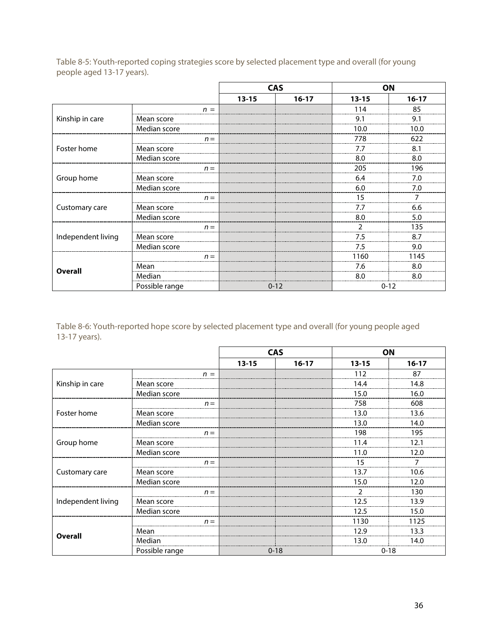|                    |                | <b>CAS</b> |           |                | ON        |
|--------------------|----------------|------------|-----------|----------------|-----------|
|                    |                | $13 - 15$  | $16 - 17$ | $13 - 15$      | $16 - 17$ |
|                    | $n =$          |            |           | 114            | 85        |
| Kinship in care    | Mean score     |            |           | 9.1            | 9.1       |
|                    | Median score   |            |           | 10.0           | 10.0      |
|                    | $n =$          |            |           | 778            | 622       |
| Foster home        | Mean score     |            |           | 7.7            | 8.1       |
|                    | Median score   |            |           | 8.0            | 8.0       |
|                    | $n =$          |            |           | 205            | 196       |
| Group home         | Mean score     |            |           | 6.4            | 7.0       |
|                    | Median score   |            |           | 6.0            | 7.0       |
|                    | $n =$          |            |           | 15             | 7         |
| Customary care     | Mean score     |            |           | 7.7            | 6.6       |
|                    | Median score   |            |           | 8.0            | 5.0       |
|                    | $n =$          |            |           | $\overline{2}$ | 135       |
| Independent living | Mean score     |            |           | 7.5            | 8.7       |
|                    | Median score   |            |           | 7.5            | 9.0       |
|                    | $n =$          |            |           | 1160           | 1145      |
| <b>Overall</b>     | Mean           |            |           | 7.6            | 8.0       |
|                    | Median         |            |           | 8.0            | 8.0       |
|                    | Possible range | $0 - 12$   |           |                | $0 - 12$  |

Table 8-5: Youth-reported coping strategies score by selected placement type and overall (for young people aged 13-17 years).

Table 8-6: Youth-reported hope score by selected placement type and overall (for young people aged 13-17 years).

|                    |                |           | <b>CAS</b> | ON        |          |
|--------------------|----------------|-----------|------------|-----------|----------|
|                    |                | $13 - 15$ | $16-17$    | $13 - 15$ | $16-17$  |
|                    | $n =$          |           |            | 112       | 87       |
| Kinship in care    | Mean score     |           |            | 14.4      | 14.8     |
|                    | Median score   |           |            | 15.0      | 16.0     |
|                    | $n =$          |           |            | 758       | 608      |
| Foster home        | Mean score     |           |            | 13.0      | 13.6     |
|                    | Median score   |           |            | 13.0      | 14.0     |
|                    | $n =$          |           |            | 198       | 195      |
| Group home         | Mean score     |           |            | 11.4      | 12.1     |
|                    | Median score   |           |            | 11.0      | 12.0     |
|                    | $n =$          |           |            | 15        |          |
| Customary care     | Mean score     |           |            | 13.7      | 10.6     |
|                    | Median score   |           |            | 15.0      | 12.0     |
|                    | $n =$          |           |            | 2         | 130      |
| Independent living | Mean score     |           |            | 12.5      | 13.9     |
|                    | Median score   |           |            | 12.5      | 15.0     |
|                    | $n =$          |           |            | 1130      | 1125     |
|                    | Mean           |           |            | 12.9      | 13.3     |
| <b>Overall</b>     | Median         |           |            | 13.0      | 14.0     |
|                    | Possible range |           | $0 - 18$   |           | $0 - 18$ |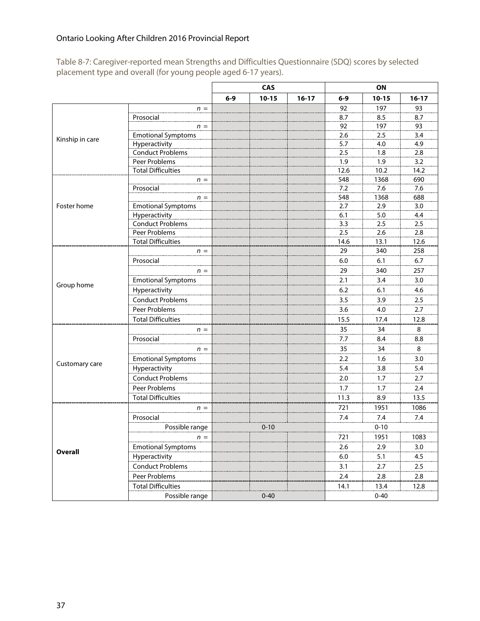Table 8-7: Caregiver-reported mean Strengths and Difficulties Questionnaire (SDQ) scores by selected placement type and overall (for young people aged 6-17 years).

|                 |                           |         | CAS       |           | <b>ON</b> |           |         |
|-----------------|---------------------------|---------|-----------|-----------|-----------|-----------|---------|
|                 |                           | $6 - 9$ | $10 - 15$ | $16 - 17$ | $6 - 9$   | $10 - 15$ | $16-17$ |
|                 | $n =$                     |         |           |           | 92        | 197       | 93      |
|                 | Prosocial                 |         |           |           | 8.7       | 8.5       | 8.7     |
|                 | $n =$                     |         |           |           | 92        | 197       | 93      |
| Kinship in care | <b>Emotional Symptoms</b> |         |           |           | 2.6       | 2.5       | 3.4     |
|                 | Hyperactivity             |         |           |           | 5.7       | 4.0       | 4.9     |
|                 | <b>Conduct Problems</b>   |         |           |           | 2.5       | 1.8       | 2.8     |
|                 | Peer Problems             |         |           |           | 1.9       | 1.9       | 3.2     |
|                 | <b>Total Difficulties</b> |         |           |           | 12.6      | 10.2      | 14.2    |
|                 | $n =$                     |         |           |           | 548       | 1368      | 690     |
|                 | Prosocial                 |         |           |           | 7.2       | 7.6       | 7.6     |
|                 | $n =$                     |         |           |           | 548       | 1368      | 688     |
| Foster home     | <b>Emotional Symptoms</b> |         |           |           | 2.7       | 2.9       | 3.0     |
|                 | Hyperactivity             |         |           |           | 6.1       | 5.0       | 4.4     |
|                 | <b>Conduct Problems</b>   |         |           |           | 3.3       | 2.5       | 2.5     |
|                 | Peer Problems             |         |           |           | 2.5       | 2.6       | 2.8     |
|                 | <b>Total Difficulties</b> |         |           |           | 14.6      | 13.1      | 12.6    |
|                 | $n =$                     |         |           |           | 29        | 340       | 258     |
|                 | Prosocial                 |         |           |           | 6.0       | 6.1       | 6.7     |
|                 | $n =$                     |         |           |           | 29        | 340       | 257     |
| Group home      | <b>Emotional Symptoms</b> |         |           |           | 2.1       | 3.4       | 3.0     |
|                 | Hyperactivity             |         |           |           | 6.2       | 6.1       | 4.6     |
|                 | <b>Conduct Problems</b>   |         |           |           | 3.5       | 3.9       | 2.5     |
|                 | Peer Problems             |         |           |           | 3.6       | 4.0       | 2.7     |
|                 | <b>Total Difficulties</b> |         |           |           | 15.5      | 17.4      | 12.8    |
|                 | $n =$                     |         |           |           | 35        | 34        | 8       |
|                 | Prosocial                 |         |           |           | 7.7       | 8.4       | 8.8     |
|                 | $n =$                     |         |           |           | 35        | 34        | 8       |
|                 | <b>Emotional Symptoms</b> |         |           |           | 2.2       | 1.6       | 3.0     |
| Customary care  | Hyperactivity             |         |           |           | 5.4       | 3.8       | 5.4     |
|                 | <b>Conduct Problems</b>   |         |           |           | 2.0       | 1.7       | 2.7     |
|                 | Peer Problems             |         |           |           | 1.7       | 1.7       | 2.4     |
|                 | <b>Total Difficulties</b> |         |           |           | 11.3      | 8.9       | 13.5    |
|                 |                           |         |           |           | 721       | 1951      | 1086    |
|                 | $n =$<br>Prosocial        |         |           |           | 7.4       | 7.4       | 7.4     |
|                 |                           |         |           |           |           |           |         |
|                 | Possible range            |         | $0 - 10$  |           |           | $0 - 10$  |         |
|                 | $n =$                     |         |           |           | 721       | 1951      | 1083    |
| <b>Overall</b>  | <b>Emotional Symptoms</b> |         |           |           | 2.6       | 2.9       | 3.0     |
|                 | Hyperactivity             |         |           |           | 6.0       | 5.1       | 4.5     |
|                 | <b>Conduct Problems</b>   |         |           |           | 3.1       | 2.7       | 2.5     |
|                 | Peer Problems             |         |           |           | $2.4$     | 2.8       | 2.8     |
|                 | <b>Total Difficulties</b> |         |           |           | 14.1      | 13.4      | 12.8    |
|                 | Possible range            |         | $0 - 40$  |           |           | $0 - 40$  |         |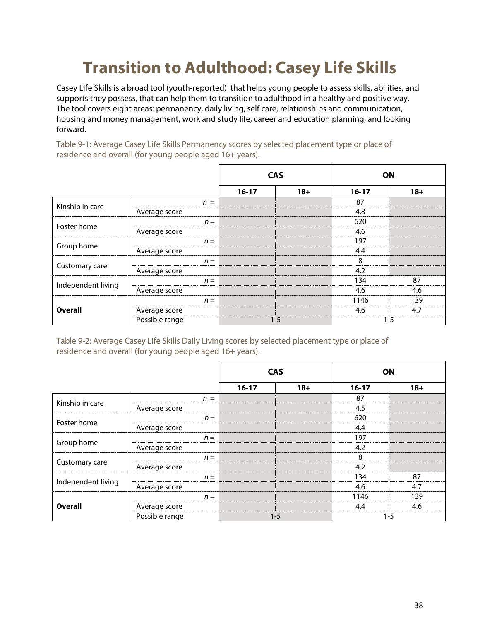# **Transition to Adulthood: Casey Life Skills**

Casey Life Skills is a broad tool (youth-reported) that helps young people to assess skills, abilities, and supports they possess, that can help them to transition to adulthood in a healthy and positive way. The tool covers eight areas: permanency, daily living, self care, relationships and communication, housing and money management, work and study life, career and education planning, and looking forward.

Table 9-1: Average Casey Life Skills Permanency scores by selected placement type or place of residence and overall (for young people aged 16+ years).

|                    |                | <b>CAS</b> |         | <b>ON</b> |       |
|--------------------|----------------|------------|---------|-----------|-------|
|                    |                | $16-17$    | $18+$   | $16 - 17$ | $18+$ |
|                    | $n =$          |            |         | 87        |       |
| Kinship in care    | Average score  |            |         | 4.8       |       |
|                    | $n =$          |            |         | 620       |       |
| Foster home        | Average score  |            |         | 4.6       |       |
|                    | $n =$          |            |         | 197       |       |
| Group home         | Average score  |            |         | 4.4       |       |
|                    | $n =$          |            |         | 8         |       |
| Customary care     | Average score  |            |         | 4.2       |       |
|                    | $n =$          |            |         | 134       | 87    |
| Independent living | Average score  |            |         | 4.6       | 4.6   |
|                    | $n =$          |            |         | 1146      | 139   |
| <b>Overall</b>     | Average score  |            |         | 4.6       | 4.7   |
|                    | Possible range |            | $1 - 5$ | $1 - 5$   |       |

Table 9-2: Average Casey Life Skills Daily Living scores by selected placement type or place of residence and overall (for young people aged 16+ years).

|                    |                | <b>CAS</b> |         | OΝ      |       |
|--------------------|----------------|------------|---------|---------|-------|
|                    |                | $16 - 17$  | $18+$   | $16-17$ | $18+$ |
|                    | $n =$          |            |         | 87      |       |
| Kinship in care    | Average score  |            |         | 4.5     |       |
|                    | $n =$          |            |         | 620     |       |
| Foster home        | Average score  |            |         | 4.4     |       |
|                    | $n =$          |            |         | 197     |       |
| Group home         | Average score  |            |         | 4.2     |       |
|                    | $n =$          |            |         | 8       |       |
| Customary care     | Average score  |            |         | 4.2     |       |
|                    | $n =$          |            |         | 134     | 87    |
| Independent living | Average score  |            |         | 4.6     | 4.7   |
|                    | $n =$          |            |         | 1146    | 139   |
| Overall            | Average score  |            |         | 44      | 46    |
|                    | Possible range |            | $1 - 5$ | 1-5     |       |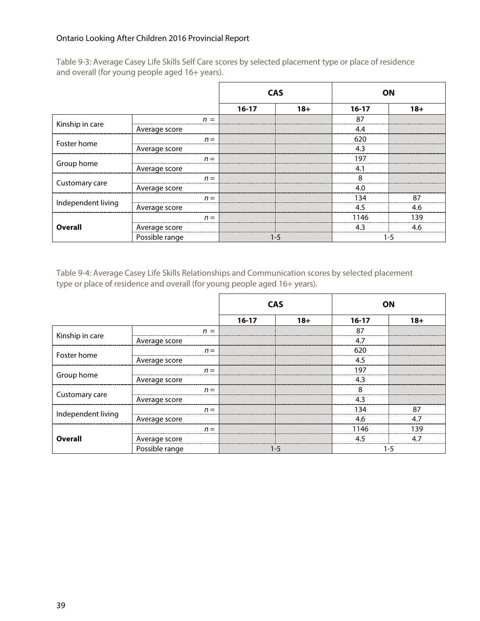|                    |                | <b>CAS</b> |       | OΝ      |       |
|--------------------|----------------|------------|-------|---------|-------|
|                    |                | $16 - 17$  | $18+$ | $16-17$ | $18+$ |
|                    | $n =$          |            |       | 87      |       |
| Kinship in care    | Average score  |            |       | 4.4     |       |
|                    | $n =$          |            |       | 620     |       |
| Foster home        | Average score  |            |       | 4.3     |       |
|                    | $n =$          |            |       | 197     |       |
| Group home         | Average score  |            |       | 4.1     |       |
|                    | $n =$          |            |       | 8       |       |
| Customary care     | Average score  |            |       | 4.0     |       |
|                    | $n =$          |            |       | 134     | 87    |
| Independent living | Average score  |            |       | 4.5     | 4.6   |
|                    | $n =$          |            |       | 1146    | 139   |
| <b>Overall</b>     | Average score  |            |       | 43      | 46    |
|                    | Possible range | 1-5        |       | 1-5     |       |

Table 9-3: Average Casey Life Skills Self Care scores by selected placement type or place of residence and overall (for young people aged 16+ years).

Table 9-4: Average Casey Life Skills Relationships and Communication scores by selected placement type or place of residence and overall (for young people aged 16+ years).

|                    |                | <b>CAS</b> |       |         | OΝ    |
|--------------------|----------------|------------|-------|---------|-------|
|                    |                | $16-17$    | $18+$ | $16-17$ | $18+$ |
|                    | $n =$          |            |       | 87      |       |
| Kinship in care    | Average score  |            |       | 4.7     |       |
| Foster home        | $n =$          |            |       | 620     |       |
|                    | Average score  |            |       | 4.5     |       |
|                    | $n =$          |            |       | 197     |       |
| Group home         | Average score  |            |       | 4.3     |       |
|                    | $n =$          |            |       | 8       |       |
| Customary care     | Average score  |            |       | 4.3     |       |
| Independent living | $n =$          |            |       | 134     | 87    |
|                    | Average score  |            |       | 4.6     | 4.7   |
|                    | $n =$          |            |       | 1146    | 139   |
| <b>Overall</b>     | Average score  |            |       | 4.5     | 47    |
|                    | Possible range |            | 1-5   | 1-5     |       |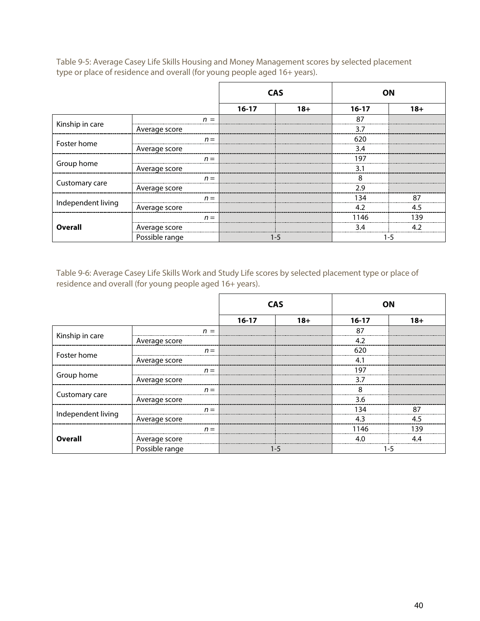|                    |                | <b>CAS</b> |       | OΝ      |       |
|--------------------|----------------|------------|-------|---------|-------|
|                    |                | $16-17$    | $18+$ | $16-17$ | $18+$ |
|                    | $n =$          |            |       | 87      |       |
| Kinship in care    | Average score  |            |       | 3.7     |       |
| Foster home        | $n =$          |            |       | 620     |       |
|                    | Average score  |            |       | 3.4     |       |
|                    | $n =$          |            |       | 197     |       |
| Group home         | Average score  |            |       | 3.1     |       |
|                    | $n =$          |            |       | 8       |       |
| Customary care     | Average score  |            |       | 2.9     |       |
|                    | $n =$          |            |       | 134     | 87    |
| Independent living | Average score  |            |       | 4.2     | 45    |
|                    | $n =$          |            |       | 1146    | 139   |
| <b>Overall</b>     | Average score  |            |       | 3.4     | 1 J   |
|                    | Possible range | 1-5        |       | 1-5     |       |

Table 9-5: Average Casey Life Skills Housing and Money Management scores by selected placement type or place of residence and overall (for young people aged 16+ years).

Table 9-6: Average Casey Life Skills Work and Study Life scores by selected placement type or place of residence and overall (for young people aged 16+ years).

|                    |                | <b>CAS</b> |         | OΝ      |       |
|--------------------|----------------|------------|---------|---------|-------|
|                    |                | $16-17$    | $18+$   | $16-17$ | $18+$ |
|                    | $n =$          |            |         | 87      |       |
| Kinship in care    | Average score  |            |         | 4.2     |       |
| Foster home        | $n =$          |            |         | 620     |       |
|                    | Average score  |            |         | 4.1     |       |
|                    | $n =$          |            |         | 197     |       |
| Group home         | Average score  |            |         | 3.7     |       |
|                    | $n =$          |            |         | 8       |       |
| Customary care     | Average score  |            |         | 3.6     |       |
| Independent living | $n =$          |            |         | 134     | 87    |
|                    | Average score  |            |         | 4.3     | 4.5   |
|                    | $n =$          |            |         | 1146    | 139   |
| <b>Overall</b>     | Average score  |            |         | 4.0     | 44    |
|                    | Possible range |            | $1 - 5$ | 1-5     |       |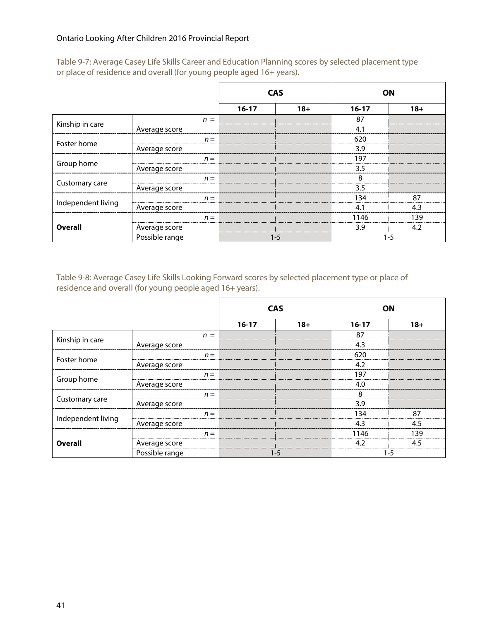|                    |                | <b>CAS</b> |        | ΟN          |        |
|--------------------|----------------|------------|--------|-------------|--------|
|                    |                | $16 - 17$  | $18 +$ | $16-17$     | $18 +$ |
|                    | $n =$          |            |        | 87          |        |
| Kinship in care    | Average score  |            |        | 4.          |        |
| Foster home        | $n =$          |            |        | 620         |        |
|                    | Average score  |            |        | 3.9         |        |
|                    | $n =$          |            |        | 197         |        |
| Group home         | Average score  |            |        | 3.5         |        |
|                    | $n =$          |            |        | 8           |        |
| Customary care     | Average score  |            |        | 3.5         |        |
|                    | $n =$          |            |        | 134         | 87     |
| Independent living | Average score  |            |        | $4^{\cdot}$ | 43     |
|                    | $n =$          |            |        | 1146        | 139    |
| <b>Overall</b>     | Average score  |            |        | 39          | 1 J    |
|                    | Possible range | 1-5        |        | 1-5         |        |

Table 9-7: Average Casey Life Skills Career and Education Planning scores by selected placement type or place of residence and overall (for young people aged 16+ years).

Table 9-8: Average Casey Life Skills Looking Forward scores by selected placement type or place of residence and overall (for young people aged 16+ years).

|                    |                | <b>CAS</b> |        | ΟN      |        |
|--------------------|----------------|------------|--------|---------|--------|
|                    |                | $16 - 17$  | $18 +$ | $16-17$ | $18 +$ |
| Kinship in care    | $n =$          |            |        | 87      |        |
|                    | Average score  |            |        | 4.3     |        |
| Foster home        | $n =$          |            |        | 620     |        |
|                    | Average score  |            |        | 4.2     |        |
| Group home         | $n =$          |            |        | 197     |        |
|                    | Average score  |            |        | 4.0     |        |
| Customary care     | $n =$          |            |        | 8       |        |
|                    | Average score  |            |        | 3.9     |        |
| Independent living | $n =$          |            |        | 134     | 87     |
|                    | Average score  |            |        | 4.3     | 4.5    |
| <b>Overall</b>     | $n =$          |            |        | 1146    | 139    |
|                    | Average score  |            |        | 4.2     | 45     |
|                    | Possible range | 1-5        |        | 1-5     |        |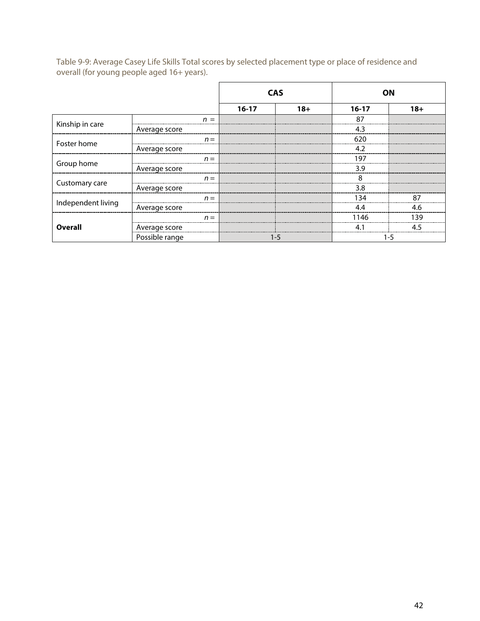Table 9-9: Average Casey Life Skills Total scores by selected placement type or place of residence and overall (for young people aged 16+ years).

|                    |                | <b>CAS</b> |       | <b>ON</b> |       |  |
|--------------------|----------------|------------|-------|-----------|-------|--|
|                    |                | $16 - 17$  | $18+$ | $16-17$   | $18+$ |  |
| Kinship in care    | $n =$          |            |       | 87        |       |  |
|                    | Average score  |            |       | 4.3       |       |  |
| Foster home        | $n =$          |            |       | 620       |       |  |
|                    | Average score  |            |       | 4.2       |       |  |
| Group home         | $n =$          |            |       | 197       |       |  |
|                    | Average score  |            |       | 3.9       |       |  |
| Customary care     | $n =$          |            |       | 8         |       |  |
|                    | Average score  |            |       | 3.8       |       |  |
| Independent living | $n =$          |            |       | 134       | 87    |  |
|                    | Average score  |            |       | 4.4       | 4.6   |  |
| <b>Overall</b>     | $n =$          |            |       | 1146      | 139   |  |
|                    | Average score  |            |       | 41        | 45    |  |
|                    | Possible range | 1-5        |       | 1-5       |       |  |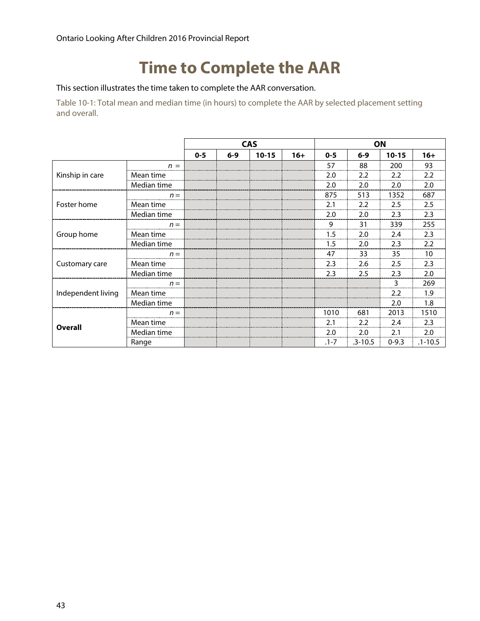### **Time to Complete the AAR**

This section illustrates the time taken to complete the AAR conversation.

Table 10-1: Total mean and median time (in hours) to complete the AAR by selected placement setting and overall.

|                    |             | <b>CAS</b> |         |           | ON    |          |             |           |             |
|--------------------|-------------|------------|---------|-----------|-------|----------|-------------|-----------|-------------|
|                    |             | $0 - 5$    | $6 - 9$ | $10 - 15$ | $16+$ | $0 - 5$  | $6 - 9$     | $10 - 15$ | $16+$       |
| Kinship in care    | $n =$       |            |         |           |       | 57       | 88          | 200       | 93          |
|                    | Mean time   |            |         |           |       | 2.0      | 2.2         | 2.2       | 2.2         |
|                    | Median time |            |         |           |       | 2.0      | 2.0         | 2.0       | 2.0         |
|                    | $n =$       |            |         |           |       | 875      | 513         | 1352      | 687         |
| Foster home        | Mean time   |            |         |           |       | 2.1      | 2.2         | 2.5       | 2.5         |
|                    | Median time |            |         |           |       | 2.0      | 2.0         | 2.3       | 2.3         |
|                    | $n =$       |            |         |           |       | 9        | 31          | 339       | 255         |
| Group home         | Mean time   |            |         |           |       | 1.5      | 2.0         | 2.4       | 2.3         |
|                    | Median time |            |         |           |       | 1.5      | 2.0         | 2.3       | 2.2         |
|                    | $n =$       |            |         |           |       | 47       | 33          | 35        | 10          |
| Customary care     | Mean time   |            |         |           |       | 2.3      | 2.6         | 2.5       | 2.3         |
|                    | Median time |            |         |           |       | 2.3      | 2.5         | 2.3       | 2.0         |
| Independent living | $n =$       |            |         |           |       |          |             | 3         | 269         |
|                    | Mean time   |            |         |           |       |          |             | 2.2       | 1.9         |
|                    | Median time |            |         |           |       |          |             | 2.0       | 1.8         |
| <b>Overall</b>     | $n =$       |            |         |           |       | 1010     | 681         | 2013      | 1510        |
|                    | Mean time   |            |         |           |       | 2.1      | 2.2         | 2.4       | 2.3         |
|                    | Median time |            |         |           |       | 2.0      | 2.0         | 2.1       | 2.0         |
|                    | Range       |            |         |           |       | $.1 - 7$ | $.3 - 10.5$ | $0 - 9.3$ | $.1 - 10.5$ |